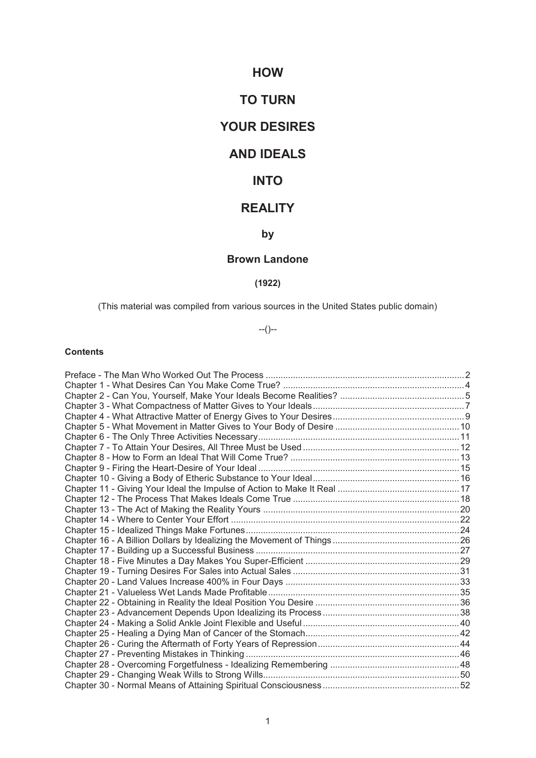# **HOW**

# **TO TURN**

# **YOUR DESIRES**

# **AND IDEALS**

# **INTO**

# **REALITY**

# **by**

# **Brown Landone**

# **(1922)**

(This material was compiled from various sources in the United States public domain)

--()--

# **Contents**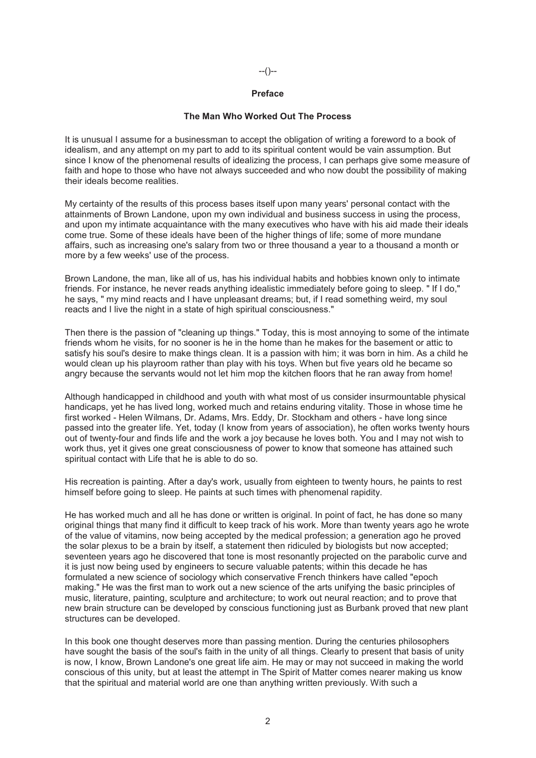# --()--

#### **Preface**

#### **The Man Who Worked Out The Process**

It is unusual I assume for a businessman to accept the obligation of writing a foreword to a book of idealism, and any attempt on my part to add to its spiritual content would be vain assumption. But since I know of the phenomenal results of idealizing the process, I can perhaps give some measure of faith and hope to those who have not always succeeded and who now doubt the possibility of making their ideals become realities.

My certainty of the results of this process bases itself upon many years' personal contact with the attainments of Brown Landone, upon my own individual and business success in using the process, and upon my intimate acquaintance with the many executives who have with his aid made their ideals come true. Some of these ideals have been of the higher things of life; some of more mundane affairs, such as increasing one's salary from two or three thousand a year to a thousand a month or more by a few weeks' use of the process.

Brown Landone, the man, like all of us, has his individual habits and hobbies known only to intimate friends. For instance, he never reads anything idealistic immediately before going to sleep. " If I do," he says, " my mind reacts and I have unpleasant dreams; but, if I read something weird, my soul reacts and I live the night in a state of high spiritual consciousness."

Then there is the passion of "cleaning up things." Today, this is most annoying to some of the intimate friends whom he visits, for no sooner is he in the home than he makes for the basement or attic to satisfy his soul's desire to make things clean. It is a passion with him; it was born in him. As a child he would clean up his playroom rather than play with his toys. When but five years old he became so angry because the servants would not let him mop the kitchen floors that he ran away from home!

Although handicapped in childhood and youth with what most of us consider insurmountable physical handicaps, yet he has lived long, worked much and retains enduring vitality. Those in whose time he first worked - Helen Wilmans, Dr. Adams, Mrs. Eddy, Dr. Stockham and others - have long since passed into the greater life. Yet, today (I know from years of association), he often works twenty hours out of twenty-four and finds life and the work a joy because he loves both. You and I may not wish to work thus, yet it gives one great consciousness of power to know that someone has attained such spiritual contact with Life that he is able to do so.

His recreation is painting. After a day's work, usually from eighteen to twenty hours, he paints to rest himself before going to sleep. He paints at such times with phenomenal rapidity.

He has worked much and all he has done or written is original. In point of fact, he has done so many original things that many find it difficult to keep track of his work. More than twenty years ago he wrote of the value of vitamins, now being accepted by the medical profession; a generation ago he proved the solar plexus to be a brain by itself, a statement then ridiculed by biologists but now accepted; seventeen years ago he discovered that tone is most resonantly projected on the parabolic curve and it is just now being used by engineers to secure valuable patents; within this decade he has formulated a new science of sociology which conservative French thinkers have called "epoch making." He was the first man to work out a new science of the arts unifying the basic principles of music, literature, painting, sculpture and architecture; to work out neural reaction; and to prove that new brain structure can be developed by conscious functioning just as Burbank proved that new plant structures can be developed.

In this book one thought deserves more than passing mention. During the centuries philosophers have sought the basis of the soul's faith in the unity of all things. Clearly to present that basis of unity is now, I know, Brown Landone's one great life aim. He may or may not succeed in making the world conscious of this unity, but at least the attempt in The Spirit of Matter comes nearer making us know that the spiritual and material world are one than anything written previously. With such a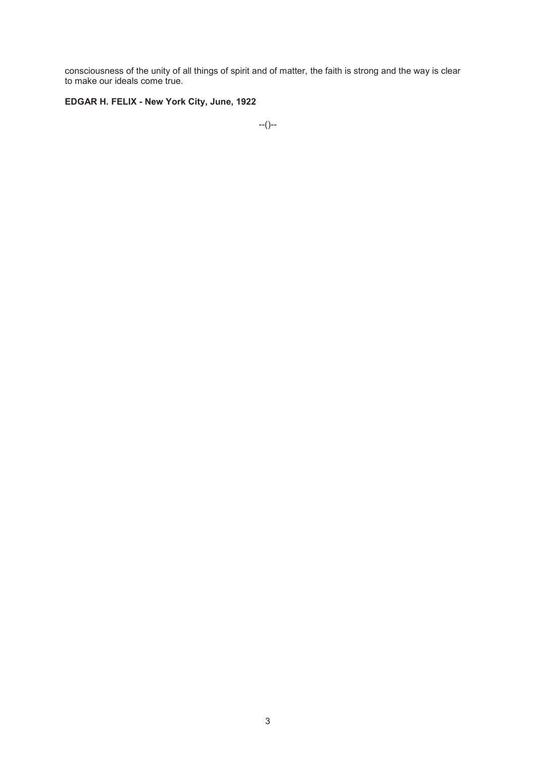consciousness of the unity of all things of spirit and of matter, the faith is strong and the way is clear to make our ideals come true.

# **EDGAR H. FELIX - New York City, June, 1922**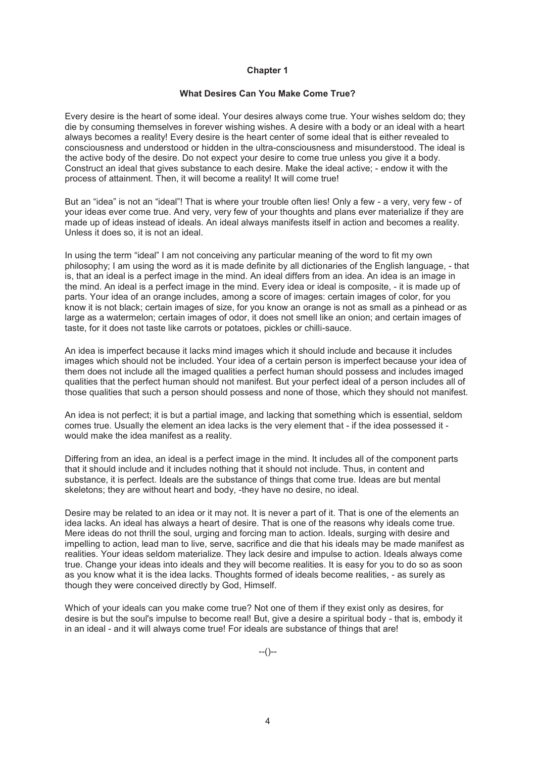# **What Desires Can You Make Come True?**

Every desire is the heart of some ideal. Your desires always come true. Your wishes seldom do; they die by consuming themselves in forever wishing wishes. A desire with a body or an ideal with a heart always becomes a reality! Every desire is the heart center of some ideal that is either revealed to consciousness and understood or hidden in the ultra-consciousness and misunderstood. The ideal is the active body of the desire. Do not expect your desire to come true unless you give it a body. Construct an ideal that gives substance to each desire. Make the ideal active; - endow it with the process of attainment. Then, it will become a reality! It will come true!

But an "idea" is not an "ideal"! That is where your trouble often lies! Only a few - a very, very few - of your ideas ever come true. And very, very few of your thoughts and plans ever materialize if they are made up of ideas instead of ideals. An ideal always manifests itself in action and becomes a reality. Unless it does so, it is not an ideal.

In using the term "ideal" I am not conceiving any particular meaning of the word to fit my own philosophy; I am using the word as it is made definite by all dictionaries of the English language, - that is, that an ideal is a perfect image in the mind. An ideal differs from an idea. An idea is an image in the mind. An ideal is a perfect image in the mind. Every idea or ideal is composite, - it is made up of parts. Your idea of an orange includes, among a score of images: certain images of color, for you know it is not black; certain images of size, for you know an orange is not as small as a pinhead or as large as a watermelon; certain images of odor, it does not smell like an onion; and certain images of taste, for it does not taste like carrots or potatoes, pickles or chilli-sauce.

An idea is imperfect because it lacks mind images which it should include and because it includes images which should not be included. Your idea of a certain person is imperfect because your idea of them does not include all the imaged qualities a perfect human should possess and includes imaged qualities that the perfect human should not manifest. But your perfect ideal of a person includes all of those qualities that such a person should possess and none of those, which they should not manifest.

An idea is not perfect; it is but a partial image, and lacking that something which is essential, seldom comes true. Usually the element an idea lacks is the very element that - if the idea possessed it would make the idea manifest as a reality.

Differing from an idea, an ideal is a perfect image in the mind. It includes all of the component parts that it should include and it includes nothing that it should not include. Thus, in content and substance, it is perfect. Ideals are the substance of things that come true. Ideas are but mental skeletons; they are without heart and body, -they have no desire, no ideal.

Desire may be related to an idea or it may not. It is never a part of it. That is one of the elements an idea lacks. An ideal has always a heart of desire. That is one of the reasons why ideals come true. Mere ideas do not thrill the soul, urging and forcing man to action. Ideals, surging with desire and impelling to action, lead man to live, serve, sacrifice and die that his ideals may be made manifest as realities. Your ideas seldom materialize. They lack desire and impulse to action. Ideals always come true. Change your ideas into ideals and they will become realities. It is easy for you to do so as soon as you know what it is the idea lacks. Thoughts formed of ideals become realities, - as surely as though they were conceived directly by God, Himself.

Which of your ideals can you make come true? Not one of them if they exist only as desires, for desire is but the soul's impulse to become real! But, give a desire a spiritual body - that is, embody it in an ideal - and it will always come true! For ideals are substance of things that are!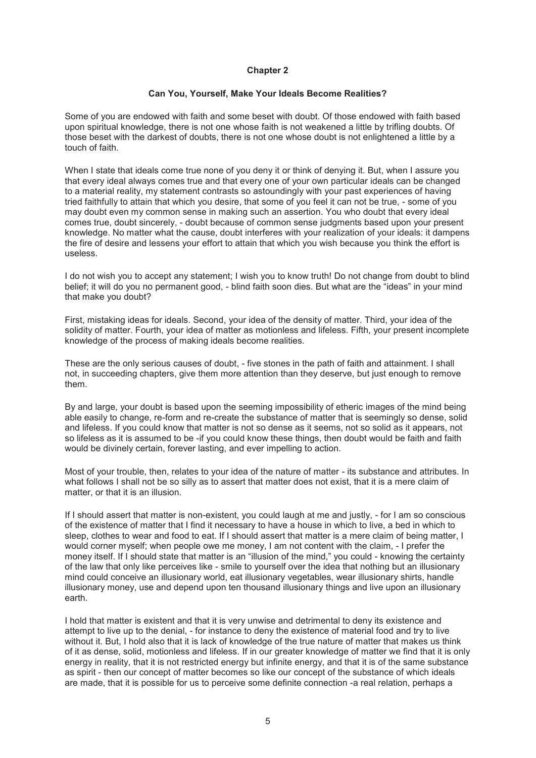# **Can You, Yourself, Make Your Ideals Become Realities?**

Some of you are endowed with faith and some beset with doubt. Of those endowed with faith based upon spiritual knowledge, there is not one whose faith is not weakened a little by trifling doubts. Of those beset with the darkest of doubts, there is not one whose doubt is not enlightened a little by a touch of faith.

When I state that ideals come true none of you deny it or think of denying it. But, when I assure you that every ideal always comes true and that every one of your own particular ideals can be changed to a material reality, my statement contrasts so astoundingly with your past experiences of having tried faithfully to attain that which you desire, that some of you feel it can not be true, - some of you may doubt even my common sense in making such an assertion. You who doubt that every ideal comes true, doubt sincerely, - doubt because of common sense judgments based upon your present knowledge. No matter what the cause, doubt interferes with your realization of your ideals: it dampens the fire of desire and lessens your effort to attain that which you wish because you think the effort is useless.

I do not wish you to accept any statement; I wish you to know truth! Do not change from doubt to blind belief; it will do you no permanent good, - blind faith soon dies. But what are the "ideas" in your mind that make you doubt?

First, mistaking ideas for ideals. Second, your idea of the density of matter. Third, your idea of the solidity of matter. Fourth, your idea of matter as motionless and lifeless. Fifth, your present incomplete knowledge of the process of making ideals become realities.

These are the only serious causes of doubt, - five stones in the path of faith and attainment. I shall not, in succeeding chapters, give them more attention than they deserve, but just enough to remove them.

By and large, your doubt is based upon the seeming impossibility of etheric images of the mind being able easily to change, re-form and re-create the substance of matter that is seemingly so dense, solid and lifeless. If you could know that matter is not so dense as it seems, not so solid as it appears, not so lifeless as it is assumed to be -if you could know these things, then doubt would be faith and faith would be divinely certain, forever lasting, and ever impelling to action.

Most of your trouble, then, relates to your idea of the nature of matter - its substance and attributes. In what follows I shall not be so silly as to assert that matter does not exist, that it is a mere claim of matter, or that it is an illusion.

If I should assert that matter is non-existent, you could laugh at me and justly, - for I am so conscious of the existence of matter that I find it necessary to have a house in which to live, a bed in which to sleep, clothes to wear and food to eat. If I should assert that matter is a mere claim of being matter, I would corner myself; when people owe me money, I am not content with the claim, - I prefer the money itself. If I should state that matter is an "illusion of the mind," you could - knowing the certainty of the law that only like perceives like - smile to yourself over the idea that nothing but an illusionary mind could conceive an illusionary world, eat illusionary vegetables, wear illusionary shirts, handle illusionary money, use and depend upon ten thousand illusionary things and live upon an illusionary earth.

I hold that matter is existent and that it is very unwise and detrimental to deny its existence and attempt to live up to the denial, - for instance to deny the existence of material food and try to live without it. But, I hold also that it is lack of knowledge of the true nature of matter that makes us think of it as dense, solid, motionless and lifeless. If in our greater knowledge of matter we find that it is only energy in reality, that it is not restricted energy but infinite energy, and that it is of the same substance as spirit - then our concept of matter becomes so like our concept of the substance of which ideals are made, that it is possible for us to perceive some definite connection -a real relation, perhaps a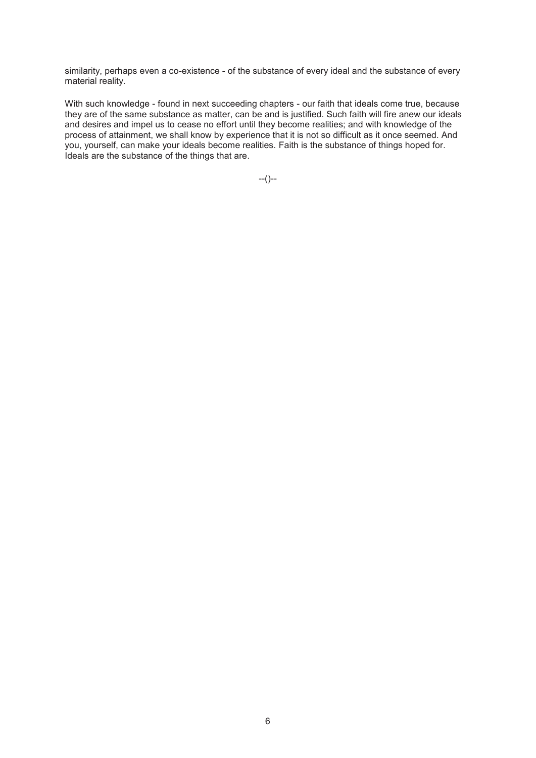similarity, perhaps even a co-existence - of the substance of every ideal and the substance of every material reality.

With such knowledge - found in next succeeding chapters - our faith that ideals come true, because they are of the same substance as matter, can be and is justified. Such faith will fire anew our ideals and desires and impel us to cease no effort until they become realities; and with knowledge of the process of attainment, we shall know by experience that it is not so difficult as it once seemed. And you, yourself, can make your ideals become realities. Faith is the substance of things hoped for. Ideals are the substance of the things that are.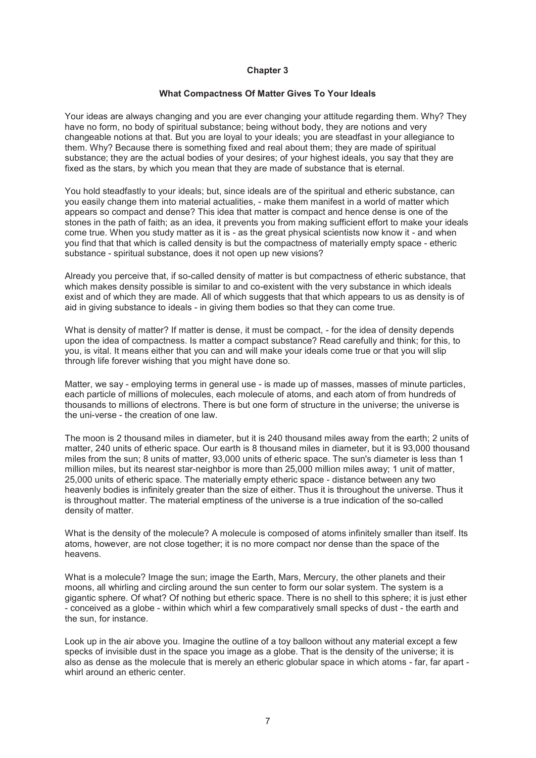#### **What Compactness Of Matter Gives To Your Ideals**

Your ideas are always changing and you are ever changing your attitude regarding them. Why? They have no form, no body of spiritual substance; being without body, they are notions and very changeable notions at that. But you are loyal to your ideals; you are steadfast in your allegiance to them. Why? Because there is something fixed and real about them; they are made of spiritual substance; they are the actual bodies of your desires; of your highest ideals, you say that they are fixed as the stars, by which you mean that they are made of substance that is eternal.

You hold steadfastly to your ideals; but, since ideals are of the spiritual and etheric substance, can you easily change them into material actualities, - make them manifest in a world of matter which appears so compact and dense? This idea that matter is compact and hence dense is one of the stones in the path of faith; as an idea, it prevents you from making sufficient effort to make your ideals come true. When you study matter as it is - as the great physical scientists now know it - and when you find that that which is called density is but the compactness of materially empty space - etheric substance - spiritual substance, does it not open up new visions?

Already you perceive that, if so-called density of matter is but compactness of etheric substance, that which makes density possible is similar to and co-existent with the very substance in which ideals exist and of which they are made. All of which suggests that that which appears to us as density is of aid in giving substance to ideals - in giving them bodies so that they can come true.

What is density of matter? If matter is dense, it must be compact, - for the idea of density depends upon the idea of compactness. Is matter a compact substance? Read carefully and think; for this, to you, is vital. It means either that you can and will make your ideals come true or that you will slip through life forever wishing that you might have done so.

Matter, we say - employing terms in general use - is made up of masses, masses of minute particles, each particle of millions of molecules, each molecule of atoms, and each atom of from hundreds of thousands to millions of electrons. There is but one form of structure in the universe; the universe is the uni-verse - the creation of one law.

The moon is 2 thousand miles in diameter, but it is 240 thousand miles away from the earth; 2 units of matter, 240 units of etheric space. Our earth is 8 thousand miles in diameter, but it is 93,000 thousand miles from the sun; 8 units of matter, 93,000 units of etheric space. The sun's diameter is less than 1 million miles, but its nearest star-neighbor is more than 25,000 million miles away; 1 unit of matter, 25,000 units of etheric space. The materially empty etheric space - distance between any two heavenly bodies is infinitely greater than the size of either. Thus it is throughout the universe. Thus it is throughout matter. The material emptiness of the universe is a true indication of the so-called density of matter.

What is the density of the molecule? A molecule is composed of atoms infinitely smaller than itself. Its atoms, however, are not close together; it is no more compact nor dense than the space of the heavens.

What is a molecule? Image the sun; image the Earth, Mars, Mercury, the other planets and their moons, all whirling and circling around the sun center to form our solar system. The system is a gigantic sphere. Of what? Of nothing but etheric space. There is no shell to this sphere; it is just ether - conceived as a globe - within which whirl a few comparatively small specks of dust - the earth and the sun, for instance.

Look up in the air above you. Imagine the outline of a toy balloon without any material except a few specks of invisible dust in the space you image as a globe. That is the density of the universe; it is also as dense as the molecule that is merely an etheric globular space in which atoms - far, far apart whirl around an etheric center.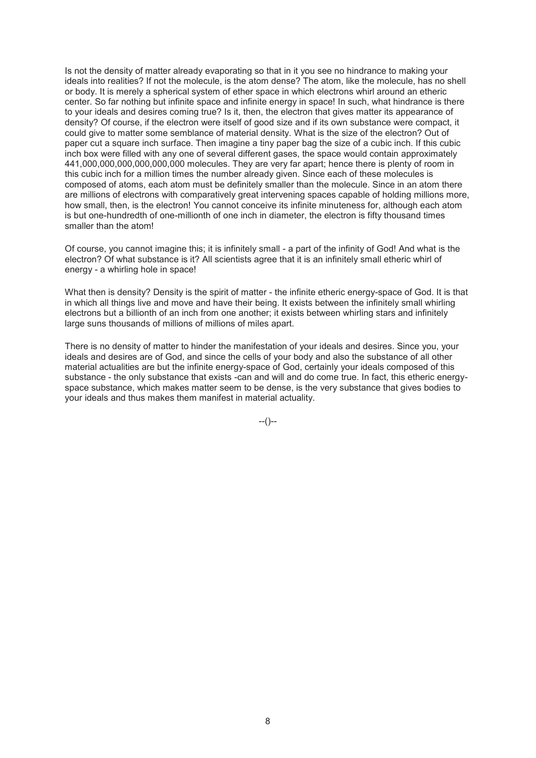Is not the density of matter already evaporating so that in it you see no hindrance to making your ideals into realities? If not the molecule, is the atom dense? The atom, like the molecule, has no shell or body. It is merely a spherical system of ether space in which electrons whirl around an etheric center. So far nothing but infinite space and infinite energy in space! In such, what hindrance is there to your ideals and desires coming true? Is it, then, the electron that gives matter its appearance of density? Of course, if the electron were itself of good size and if its own substance were compact, it could give to matter some semblance of material density. What is the size of the electron? Out of paper cut a square inch surface. Then imagine a tiny paper bag the size of a cubic inch. If this cubic inch box were filled with any one of several different gases, the space would contain approximately 441,000,000,000,000,000,000 molecules. They are very far apart; hence there is plenty of room in this cubic inch for a million times the number already given. Since each of these molecules is composed of atoms, each atom must be definitely smaller than the molecule. Since in an atom there are millions of electrons with comparatively great intervening spaces capable of holding millions more, how small, then, is the electron! You cannot conceive its infinite minuteness for, although each atom is but one-hundredth of one-millionth of one inch in diameter, the electron is fifty thousand times smaller than the atom!

Of course, you cannot imagine this; it is infinitely small - a part of the infinity of God! And what is the electron? Of what substance is it? All scientists agree that it is an infinitely small etheric whirl of energy - a whirling hole in space!

What then is density? Density is the spirit of matter - the infinite etheric energy-space of God. It is that in which all things live and move and have their being. It exists between the infinitely small whirling electrons but a billionth of an inch from one another; it exists between whirling stars and infinitely large suns thousands of millions of millions of miles apart.

There is no density of matter to hinder the manifestation of your ideals and desires. Since you, your ideals and desires are of God, and since the cells of your body and also the substance of all other material actualities are but the infinite energy-space of God, certainly your ideals composed of this substance - the only substance that exists -can and will and do come true. In fact, this etheric energyspace substance, which makes matter seem to be dense, is the very substance that gives bodies to your ideals and thus makes them manifest in material actuality.

 $-(-)$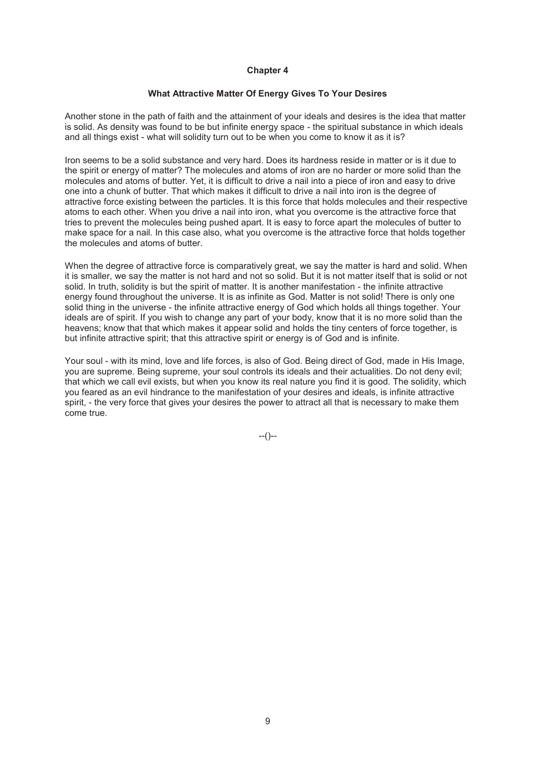# **What Attractive Matter Of Energy Gives To Your Desires**

Another stone in the path of faith and the attainment of your ideals and desires is the idea that matter is solid. As density was found to be but infinite energy space - the spiritual substance in which ideals and all things exist - what will solidity turn out to be when you come to know it as it is?

Iron seems to be a solid substance and very hard. Does its hardness reside in matter or is it due to the spirit or energy of matter? The molecules and atoms of iron are no harder or more solid than the molecules and atoms of butter. Yet, it is difficult to drive a nail into a piece of iron and easy to drive one into a chunk of butter. That which makes it difficult to drive a nail into iron is the degree of attractive force existing between the particles. It is this force that holds molecules and their respective atoms to each other. When you drive a nail into iron, what you overcome is the attractive force that tries to prevent the molecules being pushed apart. It is easy to force apart the molecules of butter to make space for a nail. In this case also, what you overcome is the attractive force that holds together the molecules and atoms of butter.

When the degree of attractive force is comparatively great, we say the matter is hard and solid. When it is smaller, we say the matter is not hard and not so solid. But it is not matter itself that is solid or not solid. In truth, solidity is but the spirit of matter. It is another manifestation - the infinite attractive energy found throughout the universe. It is as infinite as God. Matter is not solid! There is only one solid thing in the universe - the infinite attractive energy of God which holds all things together. Your ideals are of spirit. If you wish to change any part of your body, know that it is no more solid than the heavens; know that that which makes it appear solid and holds the tiny centers of force together, is but infinite attractive spirit; that this attractive spirit or energy is of God and is infinite.

Your soul - with its mind, love and life forces, is also of God. Being direct of God, made in His Image, you are supreme. Being supreme, your soul controls its ideals and their actualities. Do not deny evil; that which we call evil exists, but when you know its real nature you find it is good. The solidity, which you feared as an evil hindrance to the manifestation of your desires and ideals, is infinite attractive spirit, - the very force that gives your desires the power to attract all that is necessary to make them come true.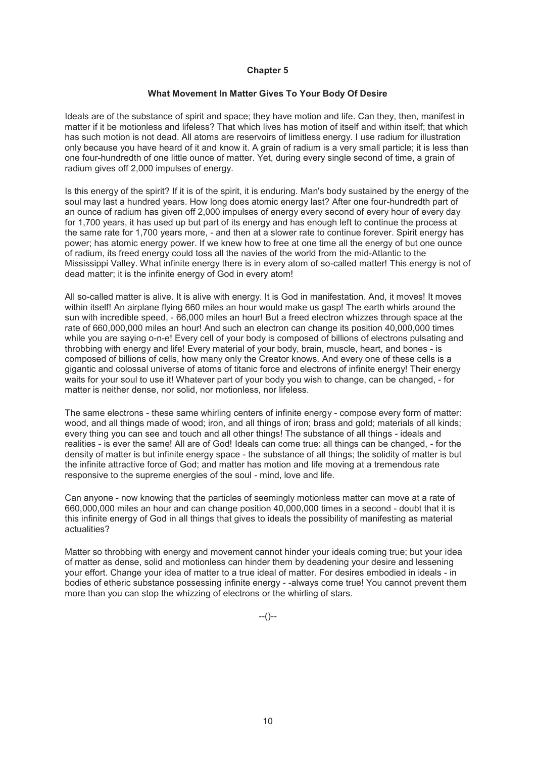#### **What Movement In Matter Gives To Your Body Of Desire**

Ideals are of the substance of spirit and space; they have motion and life. Can they, then, manifest in matter if it be motionless and lifeless? That which lives has motion of itself and within itself; that which has such motion is not dead. All atoms are reservoirs of limitless energy. I use radium for illustration only because you have heard of it and know it. A grain of radium is a very small particle; it is less than one four-hundredth of one little ounce of matter. Yet, during every single second of time, a grain of radium gives off 2,000 impulses of energy.

Is this energy of the spirit? If it is of the spirit, it is enduring. Man's body sustained by the energy of the soul may last a hundred years. How long does atomic energy last? After one four-hundredth part of an ounce of radium has given off 2,000 impulses of energy every second of every hour of every day for 1,700 years, it has used up but part of its energy and has enough left to continue the process at the same rate for 1,700 years more, - and then at a slower rate to continue forever. Spirit energy has power; has atomic energy power. If we knew how to free at one time all the energy of but one ounce of radium, its freed energy could toss all the navies of the world from the mid-Atlantic to the Mississippi Valley. What infinite energy there is in every atom of so-called matter! This energy is not of dead matter; it is the infinite energy of God in every atom!

All so-called matter is alive. It is alive with energy. It is God in manifestation. And, it moves! It moves within itself! An airplane flying 660 miles an hour would make us gasp! The earth whirls around the sun with incredible speed, - 66,000 miles an hour! But a freed electron whizzes through space at the rate of 660,000,000 miles an hour! And such an electron can change its position 40,000,000 times while you are saying o-n-e! Every cell of your body is composed of billions of electrons pulsating and throbbing with energy and life! Every material of your body, brain, muscle, heart, and bones - is composed of billions of cells, how many only the Creator knows. And every one of these cells is a gigantic and colossal universe of atoms of titanic force and electrons of infinite energy! Their energy waits for your soul to use it! Whatever part of your body you wish to change, can be changed, - for matter is neither dense, nor solid, nor motionless, nor lifeless.

The same electrons - these same whirling centers of infinite energy - compose every form of matter: wood, and all things made of wood; iron, and all things of iron; brass and gold; materials of all kinds; every thing you can see and touch and all other things! The substance of all things - ideals and realities - is ever the same! All are of God! Ideals can come true: all things can be changed, - for the density of matter is but infinite energy space - the substance of all things; the solidity of matter is but the infinite attractive force of God; and matter has motion and life moving at a tremendous rate responsive to the supreme energies of the soul - mind, love and life.

Can anyone - now knowing that the particles of seemingly motionless matter can move at a rate of 660,000,000 miles an hour and can change position 40,000,000 times in a second - doubt that it is this infinite energy of God in all things that gives to ideals the possibility of manifesting as material actualities?

Matter so throbbing with energy and movement cannot hinder your ideals coming true; but your idea of matter as dense, solid and motionless can hinder them by deadening your desire and lessening your effort. Change your idea of matter to a true ideal of matter. For desires embodied in ideals - in bodies of etheric substance possessing infinite energy - -always come true! You cannot prevent them more than you can stop the whizzing of electrons or the whirling of stars.

 $-(-)$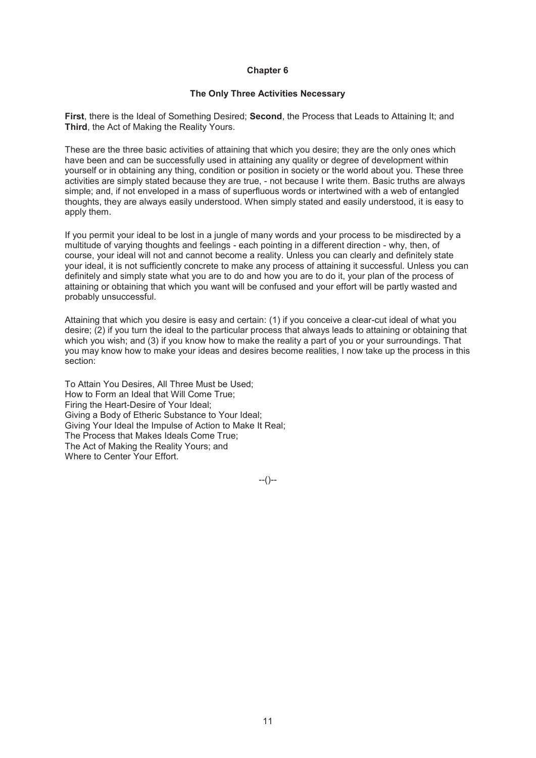## **The Only Three Activities Necessary**

**First**, there is the Ideal of Something Desired; **Second**, the Process that Leads to Attaining It; and **Third**, the Act of Making the Reality Yours.

These are the three basic activities of attaining that which you desire; they are the only ones which have been and can be successfully used in attaining any quality or degree of development within yourself or in obtaining any thing, condition or position in society or the world about you. These three activities are simply stated because they are true, - not because I write them. Basic truths are always simple; and, if not enveloped in a mass of superfluous words or intertwined with a web of entangled thoughts, they are always easily understood. When simply stated and easily understood, it is easy to apply them.

If you permit your ideal to be lost in a jungle of many words and your process to be misdirected by a multitude of varying thoughts and feelings - each pointing in a different direction - why, then, of course, your ideal will not and cannot become a reality. Unless you can clearly and definitely state your ideal, it is not sufficiently concrete to make any process of attaining it successful. Unless you can definitely and simply state what you are to do and how you are to do it, your plan of the process of attaining or obtaining that which you want will be confused and your effort will be partly wasted and probably unsuccessful.

Attaining that which you desire is easy and certain: (1) if you conceive a clear-cut ideal of what you desire; (2) if you turn the ideal to the particular process that always leads to attaining or obtaining that which you wish; and (3) if you know how to make the reality a part of you or your surroundings. That you may know how to make your ideas and desires become realities, I now take up the process in this section:

To Attain You Desires, All Three Must be Used; How to Form an Ideal that Will Come True; Firing the Heart-Desire of Your Ideal; Giving a Body of Etheric Substance to Your Ideal; Giving Your Ideal the Impulse of Action to Make It Real; The Process that Makes Ideals Come True; The Act of Making the Reality Yours; and Where to Center Your Effort.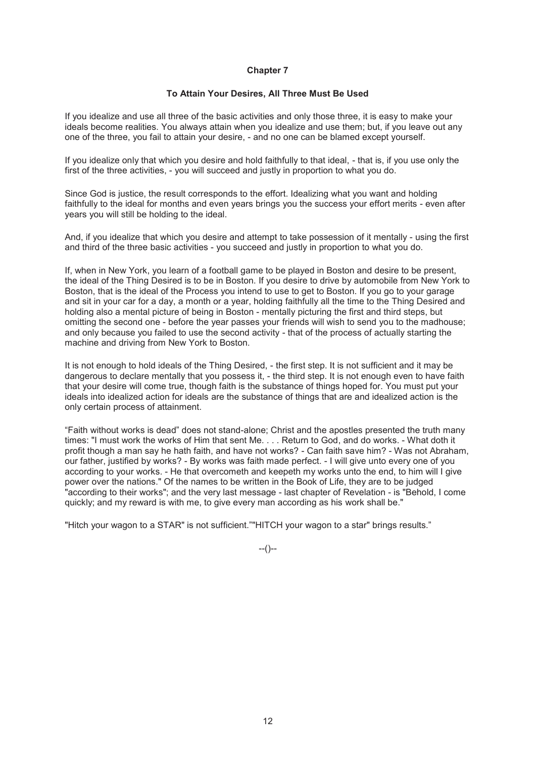# **To Attain Your Desires, All Three Must Be Used**

If you idealize and use all three of the basic activities and only those three, it is easy to make your ideals become realities. You always attain when you idealize and use them; but, if you leave out any one of the three, you fail to attain your desire, - and no one can be blamed except yourself.

If you idealize only that which you desire and hold faithfully to that ideal, - that is, if you use only the first of the three activities, - you will succeed and justly in proportion to what you do.

Since God is justice, the result corresponds to the effort. Idealizing what you want and holding faithfully to the ideal for months and even years brings you the success your effort merits - even after years you will still be holding to the ideal.

And, if you idealize that which you desire and attempt to take possession of it mentally - using the first and third of the three basic activities - you succeed and justly in proportion to what you do.

If, when in New York, you learn of a football game to be played in Boston and desire to be present, the ideal of the Thing Desired is to be in Boston. If you desire to drive by automobile from New York to Boston, that is the ideal of the Process you intend to use to get to Boston. If you go to your garage and sit in your car for a day, a month or a year, holding faithfully all the time to the Thing Desired and holding also a mental picture of being in Boston - mentally picturing the first and third steps, but omitting the second one - before the year passes your friends will wish to send you to the madhouse; and only because you failed to use the second activity - that of the process of actually starting the machine and driving from New York to Boston.

It is not enough to hold ideals of the Thing Desired, - the first step. It is not sufficient and it may be dangerous to declare mentally that you possess it, - the third step. It is not enough even to have faith that your desire will come true, though faith is the substance of things hoped for. You must put your ideals into idealized action for ideals are the substance of things that are and idealized action is the only certain process of attainment.

"Faith without works is dead" does not stand-alone; Christ and the apostles presented the truth many times: "I must work the works of Him that sent Me. . . . Return to God, and do works. - What doth it profit though a man say he hath faith, and have not works? - Can faith save him? - Was not Abraham, our father, justified by works? - By works was faith made perfect. - I will give unto every one of you according to your works. - He that overcometh and keepeth my works unto the end, to him will I give power over the nations." Of the names to be written in the Book of Life, they are to be judged "according to their works"; and the very last message - last chapter of Revelation - is "Behold, I come quickly; and my reward is with me, to give every man according as his work shall be."

"Hitch your wagon to a STAR" is not sufficient.""HITCH your wagon to a star" brings results."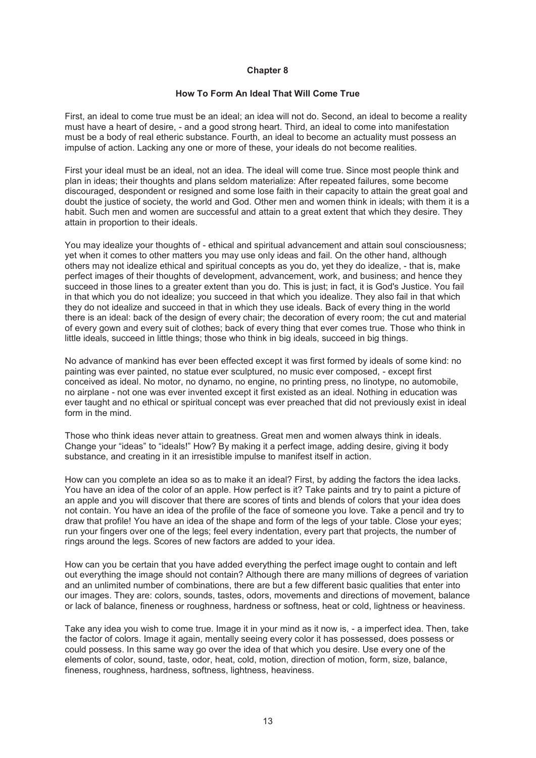# **How To Form An Ideal That Will Come True**

First, an ideal to come true must be an ideal; an idea will not do. Second, an ideal to become a reality must have a heart of desire, - and a good strong heart. Third, an ideal to come into manifestation must be a body of real etheric substance. Fourth, an ideal to become an actuality must possess an impulse of action. Lacking any one or more of these, your ideals do not become realities.

First your ideal must be an ideal, not an idea. The ideal will come true. Since most people think and plan in ideas; their thoughts and plans seldom materialize: After repeated failures, some become discouraged, despondent or resigned and some lose faith in their capacity to attain the great goal and doubt the justice of society, the world and God. Other men and women think in ideals; with them it is a habit. Such men and women are successful and attain to a great extent that which they desire. They attain in proportion to their ideals.

You may idealize your thoughts of - ethical and spiritual advancement and attain soul consciousness: yet when it comes to other matters you may use only ideas and fail. On the other hand, although others may not idealize ethical and spiritual concepts as you do, yet they do idealize, - that is, make perfect images of their thoughts of development, advancement, work, and business; and hence they succeed in those lines to a greater extent than you do. This is just; in fact, it is God's Justice. You fail in that which you do not idealize; you succeed in that which you idealize. They also fail in that which they do not idealize and succeed in that in which they use ideals. Back of every thing in the world there is an ideal: back of the design of every chair; the decoration of every room; the cut and material of every gown and every suit of clothes; back of every thing that ever comes true. Those who think in little ideals, succeed in little things; those who think in big ideals, succeed in big things.

No advance of mankind has ever been effected except it was first formed by ideals of some kind: no painting was ever painted, no statue ever sculptured, no music ever composed, - except first conceived as ideal. No motor, no dynamo, no engine, no printing press, no linotype, no automobile, no airplane - not one was ever invented except it first existed as an ideal. Nothing in education was ever taught and no ethical or spiritual concept was ever preached that did not previously exist in ideal form in the mind.

Those who think ideas never attain to greatness. Great men and women always think in ideals. Change your "ideas" to "ideals!" How? By making it a perfect image, adding desire, giving it body substance, and creating in it an irresistible impulse to manifest itself in action.

How can you complete an idea so as to make it an ideal? First, by adding the factors the idea lacks. You have an idea of the color of an apple. How perfect is it? Take paints and try to paint a picture of an apple and you will discover that there are scores of tints and blends of colors that your idea does not contain. You have an idea of the profile of the face of someone you love. Take a pencil and try to draw that profile! You have an idea of the shape and form of the legs of your table. Close your eyes; run your fingers over one of the legs; feel every indentation, every part that projects, the number of rings around the legs. Scores of new factors are added to your idea.

How can you be certain that you have added everything the perfect image ought to contain and left out everything the image should not contain? Although there are many millions of degrees of variation and an unlimited number of combinations, there are but a few different basic qualities that enter into our images. They are: colors, sounds, tastes, odors, movements and directions of movement, balance or lack of balance, fineness or roughness, hardness or softness, heat or cold, lightness or heaviness.

Take any idea you wish to come true. Image it in your mind as it now is, - a imperfect idea. Then, take the factor of colors. Image it again, mentally seeing every color it has possessed, does possess or could possess. In this same way go over the idea of that which you desire. Use every one of the elements of color, sound, taste, odor, heat, cold, motion, direction of motion, form, size, balance, fineness, roughness, hardness, softness, lightness, heaviness.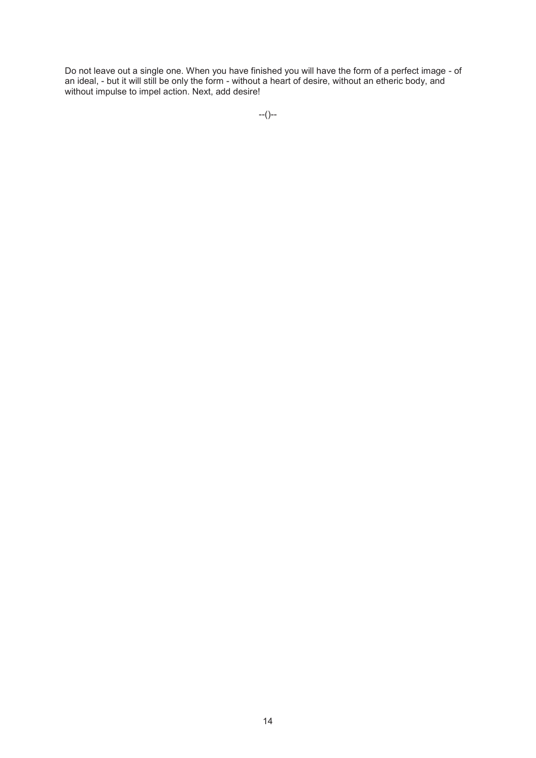Do not leave out a single one. When you have finished you will have the form of a perfect image - of an ideal, - but it will still be only the form - without a heart of desire, without an etheric body, and without impulse to impel action. Next, add desire!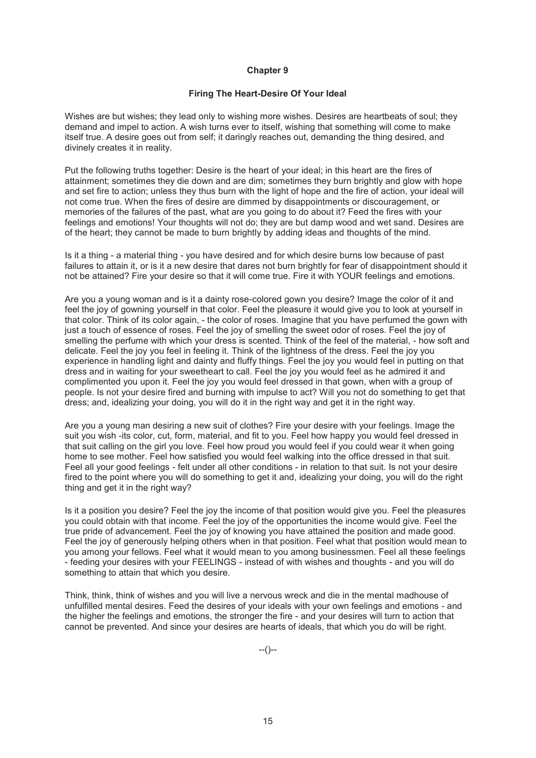# **Firing The Heart-Desire Of Your Ideal**

Wishes are but wishes; they lead only to wishing more wishes. Desires are heartbeats of soul; they demand and impel to action. A wish turns ever to itself, wishing that something will come to make itself true. A desire goes out from self; it daringly reaches out, demanding the thing desired, and divinely creates it in reality.

Put the following truths together: Desire is the heart of your ideal; in this heart are the fires of attainment; sometimes they die down and are dim; sometimes they burn brightly and glow with hope and set fire to action; unless they thus burn with the light of hope and the fire of action, your ideal will not come true. When the fires of desire are dimmed by disappointments or discouragement, or memories of the failures of the past, what are you going to do about it? Feed the fires with your feelings and emotions! Your thoughts will not do; they are but damp wood and wet sand. Desires are of the heart; they cannot be made to burn brightly by adding ideas and thoughts of the mind.

Is it a thing - a material thing - you have desired and for which desire burns low because of past failures to attain it, or is it a new desire that dares not burn brightly for fear of disappointment should it not be attained? Fire your desire so that it will come true. Fire it with YOUR feelings and emotions.

Are you a young woman and is it a dainty rose-colored gown you desire? Image the color of it and feel the joy of gowning yourself in that color. Feel the pleasure it would give you to look at yourself in that color. Think of its color again, - the color of roses. Imagine that you have perfumed the gown with just a touch of essence of roses. Feel the joy of smelling the sweet odor of roses. Feel the joy of smelling the perfume with which your dress is scented. Think of the feel of the material, - how soft and delicate. Feel the joy you feel in feeling it. Think of the lightness of the dress. Feel the joy you experience in handling light and dainty and fluffy things. Feel the joy you would feel in putting on that dress and in waiting for your sweetheart to call. Feel the joy you would feel as he admired it and complimented you upon it. Feel the joy you would feel dressed in that gown, when with a group of people. Is not your desire fired and burning with impulse to act? Will you not do something to get that dress; and, idealizing your doing, you will do it in the right way and get it in the right way.

Are you a young man desiring a new suit of clothes? Fire your desire with your feelings. Image the suit you wish -its color, cut, form, material, and fit to you. Feel how happy you would feel dressed in that suit calling on the girl you love. Feel how proud you would feel if you could wear it when going home to see mother. Feel how satisfied you would feel walking into the office dressed in that suit. Feel all your good feelings - felt under all other conditions - in relation to that suit. Is not your desire fired to the point where you will do something to get it and, idealizing your doing, you will do the right thing and get it in the right way?

Is it a position you desire? Feel the joy the income of that position would give you. Feel the pleasures you could obtain with that income. Feel the joy of the opportunities the income would give. Feel the true pride of advancement. Feel the joy of knowing you have attained the position and made good. Feel the joy of generously helping others when in that position. Feel what that position would mean to you among your fellows. Feel what it would mean to you among businessmen. Feel all these feelings - feeding your desires with your FEELINGS - instead of with wishes and thoughts - and you will do something to attain that which you desire.

Think, think, think of wishes and you will live a nervous wreck and die in the mental madhouse of unfulfilled mental desires. Feed the desires of your ideals with your own feelings and emotions - and the higher the feelings and emotions, the stronger the fire - and your desires will turn to action that cannot be prevented. And since your desires are hearts of ideals, that which you do will be right.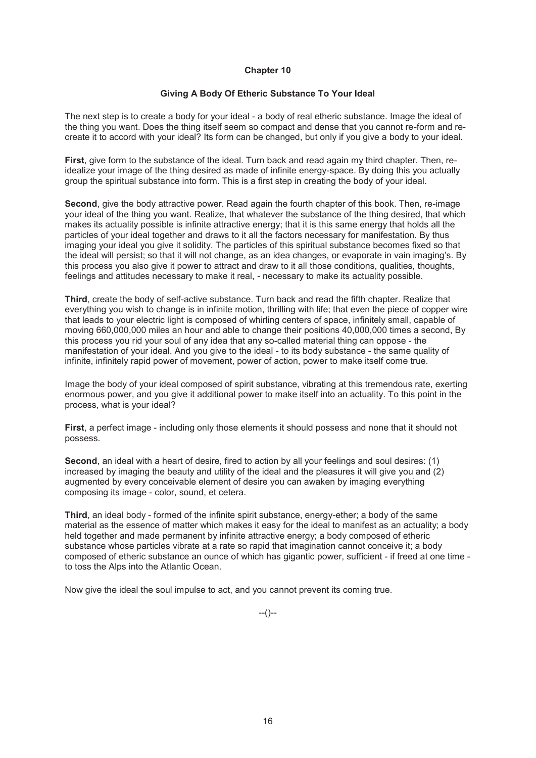# **Giving A Body Of Etheric Substance To Your Ideal**

The next step is to create a body for your ideal - a body of real etheric substance. Image the ideal of the thing you want. Does the thing itself seem so compact and dense that you cannot re-form and recreate it to accord with your ideal? Its form can be changed, but only if you give a body to your ideal.

**First**, give form to the substance of the ideal. Turn back and read again my third chapter. Then, reidealize your image of the thing desired as made of infinite energy-space. By doing this you actually group the spiritual substance into form. This is a first step in creating the body of your ideal.

**Second**, give the body attractive power. Read again the fourth chapter of this book. Then, re-image your ideal of the thing you want. Realize, that whatever the substance of the thing desired, that which makes its actuality possible is infinite attractive energy; that it is this same energy that holds all the particles of your ideal together and draws to it all the factors necessary for manifestation. By thus imaging your ideal you give it solidity. The particles of this spiritual substance becomes fixed so that the ideal will persist; so that it will not change, as an idea changes, or evaporate in vain imaging's. By this process you also give it power to attract and draw to it all those conditions, qualities, thoughts, feelings and attitudes necessary to make it real, - necessary to make its actuality possible.

**Third**, create the body of self-active substance. Turn back and read the fifth chapter. Realize that everything you wish to change is in infinite motion, thrilling with life; that even the piece of copper wire that leads to your electric light is composed of whirling centers of space, infinitely small, capable of moving 660,000,000 miles an hour and able to change their positions 40,000,000 times a second, By this process you rid your soul of any idea that any so-called material thing can oppose - the manifestation of your ideal. And you give to the ideal - to its body substance - the same quality of infinite, infinitely rapid power of movement, power of action, power to make itself come true.

Image the body of your ideal composed of spirit substance, vibrating at this tremendous rate, exerting enormous power, and you give it additional power to make itself into an actuality. To this point in the process, what is your ideal?

**First**, a perfect image - including only those elements it should possess and none that it should not possess.

**Second**, an ideal with a heart of desire, fired to action by all your feelings and soul desires: (1) increased by imaging the beauty and utility of the ideal and the pleasures it will give you and (2) augmented by every conceivable element of desire you can awaken by imaging everything composing its image - color, sound, et cetera.

**Third**, an ideal body - formed of the infinite spirit substance, energy-ether; a body of the same material as the essence of matter which makes it easy for the ideal to manifest as an actuality; a body held together and made permanent by infinite attractive energy; a body composed of etheric substance whose particles vibrate at a rate so rapid that imagination cannot conceive it; a body composed of etheric substance an ounce of which has gigantic power, sufficient - if freed at one time to toss the Alps into the Atlantic Ocean.

Now give the ideal the soul impulse to act, and you cannot prevent its coming true.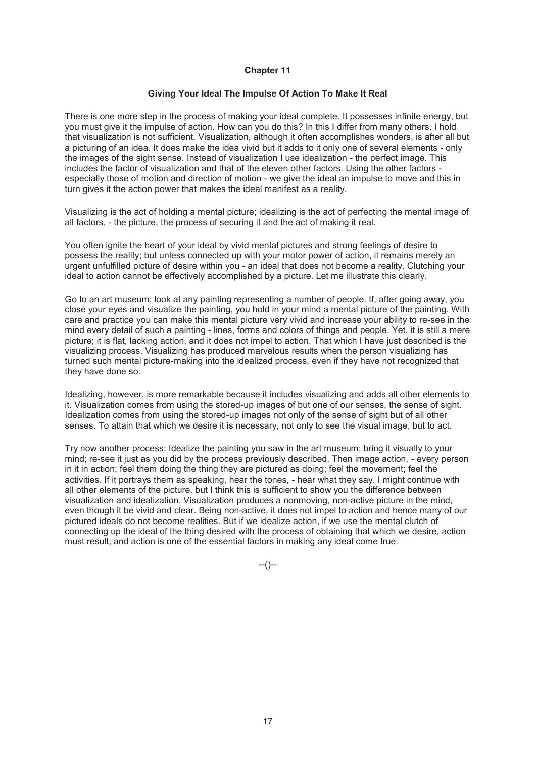#### **Giving Your Ideal The Impulse Of Action To Make It Real**

There is one more step in the process of making your ideal complete. It possesses infinite energy, but you must give it the impulse of action. How can you do this? In this I differ from many others. I hold that visualization is not sufficient. Visualization, although it often accomplishes wonders, is after all but a picturing of an idea. It does make the idea vivid but it adds to it only one of several elements - only the images of the sight sense. Instead of visualization I use idealization - the perfect image. This includes the factor of visualization and that of the eleven other factors. Using the other factors especially those of motion and direction of motion - we give the ideal an impulse to move and this in turn gives it the action power that makes the ideal manifest as a reality.

Visualizing is the act of holding a mental picture; idealizing is the act of perfecting the mental image of all factors, - the picture, the process of securing it and the act of making it real.

You often ignite the heart of your ideal by vivid mental pictures and strong feelings of desire to possess the reality; but unless connected up with your motor power of action, it remains merely an urgent unfulfilled picture of desire within you - an ideal that does not become a reality. Clutching your ideal to action cannot be effectively accomplished by a picture. Let me illustrate this clearly.

Go to an art museum; look at any painting representing a number of people. If, after going away, you close your eyes and visualize the painting, you hold in your mind a mental picture of the painting. With care and practice you can make this mental picture very vivid and increase your ability to re-see in the mind every detail of such a painting - lines, forms and colors of things and people. Yet, it is still a mere picture; it is flat, lacking action, and it does not impel to action. That which I have just described is the visualizing process. Visualizing has produced marvelous results when the person visualizing has turned such mental picture-making into the idealized process, even if they have not recognized that they have done so.

Idealizing, however, is more remarkable because it includes visualizing and adds all other elements to it. Visualization comes from using the stored-up images of but one of our senses, the sense of sight. Idealization comes from using the stored-up images not only of the sense of sight but of all other senses. To attain that which we desire it is necessary, not only to see the visual image, but to act.

Try now another process: Idealize the painting you saw in the art museum; bring it visually to your mind; re-see it just as you did by the process previously described. Then image action, - every person in it in action; feel them doing the thing they are pictured as doing; feel the movement; feel the activities. If it portrays them as speaking, hear the tones, - hear what they say. I might continue with all other elements of the picture, but I think this is sufficient to show you the difference between visualization and idealization. Visualization produces a nonmoving, non-active picture in the mind, even though it be vivid and clear. Being non-active, it does not impel to action and hence many of our pictured ideals do not become realities. But if we idealize action, if we use the mental clutch of connecting up the ideal of the thing desired with the process of obtaining that which we desire, action must result; and action is one of the essential factors in making any ideal come true.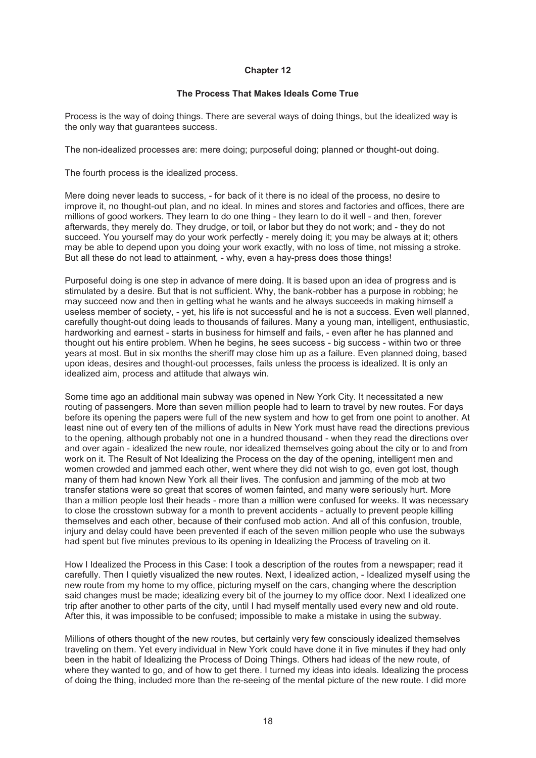# **The Process That Makes Ideals Come True**

Process is the way of doing things. There are several ways of doing things, but the idealized way is the only way that guarantees success.

The non-idealized processes are: mere doing; purposeful doing; planned or thought-out doing.

The fourth process is the idealized process.

Mere doing never leads to success, - for back of it there is no ideal of the process, no desire to improve it, no thought-out plan, and no ideal. In mines and stores and factories and offices, there are millions of good workers. They learn to do one thing - they learn to do it well - and then, forever afterwards, they merely do. They drudge, or toil, or labor but they do not work; and - they do not succeed. You yourself may do your work perfectly - merely doing it; you may be always at it; others may be able to depend upon you doing your work exactly, with no loss of time, not missing a stroke. But all these do not lead to attainment, - why, even a hay-press does those things!

Purposeful doing is one step in advance of mere doing. It is based upon an idea of progress and is stimulated by a desire. But that is not sufficient. Why, the bank-robber has a purpose in robbing; he may succeed now and then in getting what he wants and he always succeeds in making himself a useless member of society, - yet, his life is not successful and he is not a success. Even well planned, carefully thought-out doing leads to thousands of failures. Many a young man, intelligent, enthusiastic, hardworking and earnest - starts in business for himself and fails, - even after he has planned and thought out his entire problem. When he begins, he sees success - big success - within two or three years at most. But in six months the sheriff may close him up as a failure. Even planned doing, based upon ideas, desires and thought-out processes, fails unless the process is idealized. It is only an idealized aim, process and attitude that always win.

Some time ago an additional main subway was opened in New York City. It necessitated a new routing of passengers. More than seven million people had to learn to travel by new routes. For days before its opening the papers were full of the new system and how to get from one point to another. At least nine out of every ten of the millions of adults in New York must have read the directions previous to the opening, although probably not one in a hundred thousand - when they read the directions over and over again - idealized the new route, nor idealized themselves going about the city or to and from work on it. The Result of Not Idealizing the Process on the day of the opening, intelligent men and women crowded and jammed each other, went where they did not wish to go, even got lost, though many of them had known New York all their lives. The confusion and jamming of the mob at two transfer stations were so great that scores of women fainted, and many were seriously hurt. More than a million people lost their heads - more than a million were confused for weeks. It was necessary to close the crosstown subway for a month to prevent accidents - actually to prevent people killing themselves and each other, because of their confused mob action. And all of this confusion, trouble, injury and delay could have been prevented if each of the seven million people who use the subways had spent but five minutes previous to its opening in Idealizing the Process of traveling on it.

How I Idealized the Process in this Case: I took a description of the routes from a newspaper; read it carefully. Then I quietly visualized the new routes. Next, I idealized action, - Idealized myself using the new route from my home to my office, picturing myself on the cars, changing where the description said changes must be made; idealizing every bit of the journey to my office door. Next I idealized one trip after another to other parts of the city, until I had myself mentally used every new and old route. After this, it was impossible to be confused; impossible to make a mistake in using the subway.

Millions of others thought of the new routes, but certainly very few consciously idealized themselves traveling on them. Yet every individual in New York could have done it in five minutes if they had only been in the habit of Idealizing the Process of Doing Things. Others had ideas of the new route, of where they wanted to go, and of how to get there. I turned my ideas into ideals. Idealizing the process of doing the thing, included more than the re-seeing of the mental picture of the new route. I did more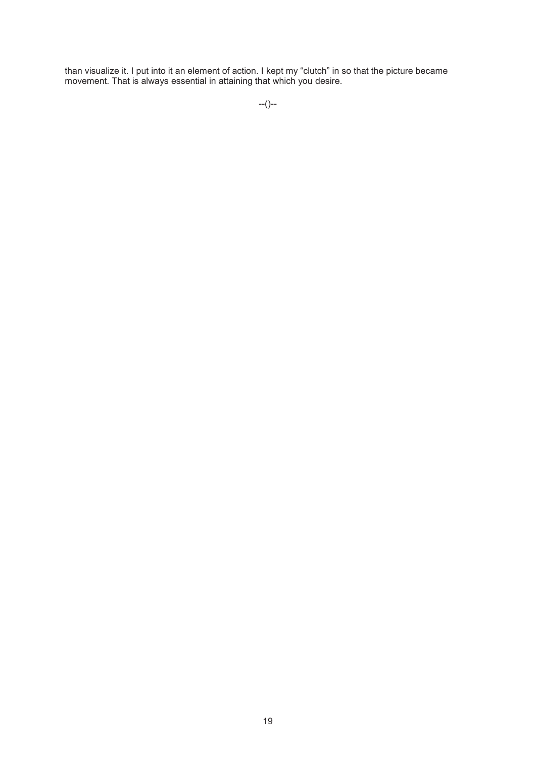than visualize it. I put into it an element of action. I kept my "clutch" in so that the picture became movement. That is always essential in attaining that which you desire.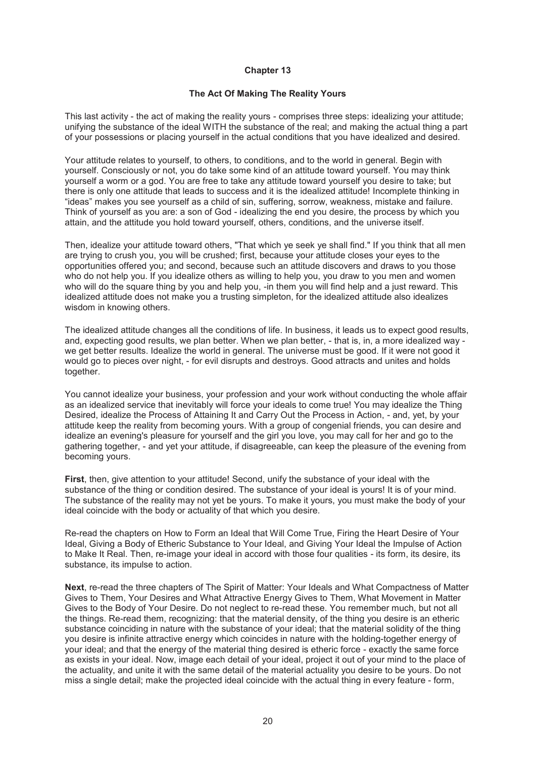## **The Act Of Making The Reality Yours**

This last activity - the act of making the reality yours - comprises three steps: idealizing your attitude; unifying the substance of the ideal WITH the substance of the real; and making the actual thing a part of your possessions or placing yourself in the actual conditions that you have idealized and desired.

Your attitude relates to yourself, to others, to conditions, and to the world in general. Begin with yourself. Consciously or not, you do take some kind of an attitude toward yourself. You may think yourself a worm or a god. You are free to take any attitude toward yourself you desire to take; but there is only one attitude that leads to success and it is the idealized attitude! Incomplete thinking in "ideas" makes you see yourself as a child of sin, suffering, sorrow, weakness, mistake and failure. Think of yourself as you are: a son of God - idealizing the end you desire, the process by which you attain, and the attitude you hold toward yourself, others, conditions, and the universe itself.

Then, idealize your attitude toward others, "That which ye seek ye shall find." If you think that all men are trying to crush you, you will be crushed; first, because your attitude closes your eyes to the opportunities offered you; and second, because such an attitude discovers and draws to you those who do not help you. If you idealize others as willing to help you, you draw to you men and women who will do the square thing by you and help you, -in them you will find help and a just reward. This idealized attitude does not make you a trusting simpleton, for the idealized attitude also idealizes wisdom in knowing others.

The idealized attitude changes all the conditions of life. In business, it leads us to expect good results, and, expecting good results, we plan better. When we plan better, - that is, in, a more idealized way we get better results. Idealize the world in general. The universe must be good. If it were not good it would go to pieces over night, - for evil disrupts and destroys. Good attracts and unites and holds together.

You cannot idealize your business, your profession and your work without conducting the whole affair as an idealized service that inevitably will force your ideals to come true! You may idealize the Thing Desired, idealize the Process of Attaining It and Carry Out the Process in Action, - and, yet, by your attitude keep the reality from becoming yours. With a group of congenial friends, you can desire and idealize an evening's pleasure for yourself and the girl you love, you may call for her and go to the gathering together, - and yet your attitude, if disagreeable, can keep the pleasure of the evening from becoming yours.

**First**, then, give attention to your attitude! Second, unify the substance of your ideal with the substance of the thing or condition desired. The substance of your ideal is yours! It is of your mind. The substance of the reality may not yet be yours. To make it yours, you must make the body of your ideal coincide with the body or actuality of that which you desire.

Re-read the chapters on How to Form an Ideal that Will Come True, Firing the Heart Desire of Your Ideal, Giving a Body of Etheric Substance to Your Ideal, and Giving Your Ideal the Impulse of Action to Make It Real. Then, re-image your ideal in accord with those four qualities - its form, its desire, its substance, its impulse to action.

**Next**, re-read the three chapters of The Spirit of Matter: Your Ideals and What Compactness of Matter Gives to Them, Your Desires and What Attractive Energy Gives to Them, What Movement in Matter Gives to the Body of Your Desire. Do not neglect to re-read these. You remember much, but not all the things. Re-read them, recognizing: that the material density, of the thing you desire is an etheric substance coinciding in nature with the substance of your ideal; that the material solidity of the thing you desire is infinite attractive energy which coincides in nature with the holding-together energy of your ideal; and that the energy of the material thing desired is etheric force - exactly the same force as exists in your ideal. Now, image each detail of your ideal, project it out of your mind to the place of the actuality, and unite it with the same detail of the material actuality you desire to be yours. Do not miss a single detail; make the projected ideal coincide with the actual thing in every feature - form,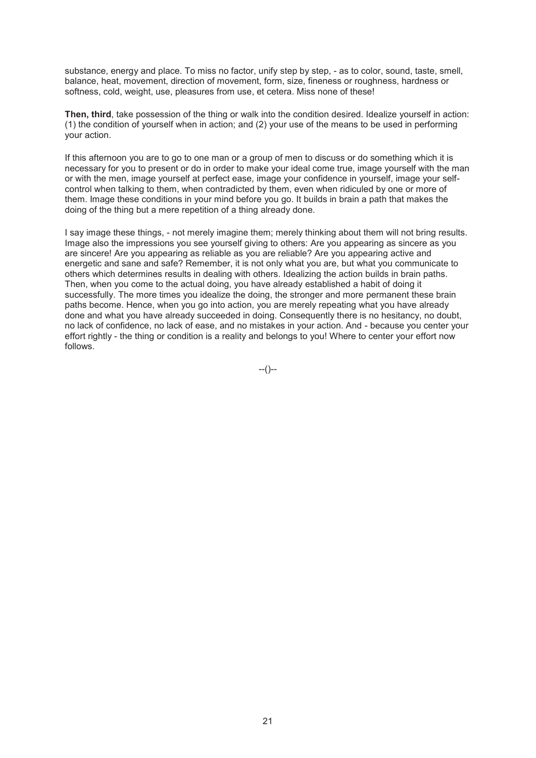substance, energy and place. To miss no factor, unify step by step, - as to color, sound, taste, smell, balance, heat, movement, direction of movement, form, size, fineness or roughness, hardness or softness, cold, weight, use, pleasures from use, et cetera. Miss none of these!

**Then, third**, take possession of the thing or walk into the condition desired. Idealize yourself in action: (1) the condition of yourself when in action; and (2) your use of the means to be used in performing your action.

If this afternoon you are to go to one man or a group of men to discuss or do something which it is necessary for you to present or do in order to make your ideal come true, image yourself with the man or with the men, image yourself at perfect ease, image your confidence in yourself, image your selfcontrol when talking to them, when contradicted by them, even when ridiculed by one or more of them. Image these conditions in your mind before you go. It builds in brain a path that makes the doing of the thing but a mere repetition of a thing already done.

I say image these things, - not merely imagine them; merely thinking about them will not bring results. Image also the impressions you see yourself giving to others: Are you appearing as sincere as you are sincere! Are you appearing as reliable as you are reliable? Are you appearing active and energetic and sane and safe? Remember, it is not only what you are, but what you communicate to others which determines results in dealing with others. Idealizing the action builds in brain paths. Then, when you come to the actual doing, you have already established a habit of doing it successfully. The more times you idealize the doing, the stronger and more permanent these brain paths become. Hence, when you go into action, you are merely repeating what you have already done and what you have already succeeded in doing. Consequently there is no hesitancy, no doubt, no lack of confidence, no lack of ease, and no mistakes in your action. And - because you center your effort rightly - the thing or condition is a reality and belongs to you! Where to center your effort now follows.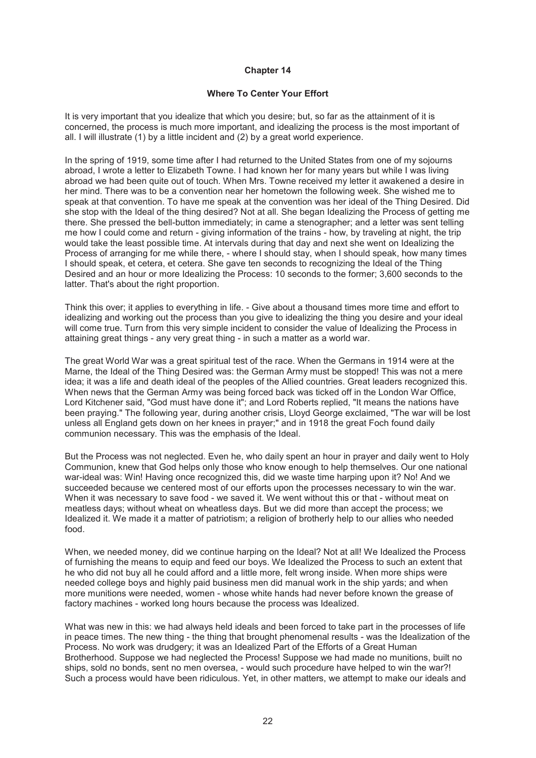#### **Where To Center Your Effort**

It is very important that you idealize that which you desire; but, so far as the attainment of it is concerned, the process is much more important, and idealizing the process is the most important of all. I will illustrate (1) by a little incident and (2) by a great world experience.

In the spring of 1919, some time after I had returned to the United States from one of my sojourns abroad, I wrote a letter to Elizabeth Towne. I had known her for many years but while I was living abroad we had been quite out of touch. When Mrs. Towne received my letter it awakened a desire in her mind. There was to be a convention near her hometown the following week. She wished me to speak at that convention. To have me speak at the convention was her ideal of the Thing Desired. Did she stop with the Ideal of the thing desired? Not at all. She began Idealizing the Process of getting me there. She pressed the bell-button immediately; in came a stenographer; and a letter was sent telling me how I could come and return - giving information of the trains - how, by traveling at night, the trip would take the least possible time. At intervals during that day and next she went on Idealizing the Process of arranging for me while there, - where I should stay, when I should speak, how many times I should speak, et cetera, et cetera. She gave ten seconds to recognizing the Ideal of the Thing Desired and an hour or more Idealizing the Process: 10 seconds to the former; 3,600 seconds to the latter. That's about the right proportion.

Think this over; it applies to everything in life. - Give about a thousand times more time and effort to idealizing and working out the process than you give to idealizing the thing you desire and your ideal will come true. Turn from this very simple incident to consider the value of Idealizing the Process in attaining great things - any very great thing - in such a matter as a world war.

The great World War was a great spiritual test of the race. When the Germans in 1914 were at the Marne, the Ideal of the Thing Desired was: the German Army must be stopped! This was not a mere idea; it was a life and death ideal of the peoples of the Allied countries. Great leaders recognized this. When news that the German Army was being forced back was ticked off in the London War Office, Lord Kitchener said, "God must have done it"; and Lord Roberts replied, "It means the nations have been praying." The following year, during another crisis, Lloyd George exclaimed, "The war will be lost unless all England gets down on her knees in prayer;" and in 1918 the great Foch found daily communion necessary. This was the emphasis of the Ideal.

But the Process was not neglected. Even he, who daily spent an hour in prayer and daily went to Holy Communion, knew that God helps only those who know enough to help themselves. Our one national war-ideal was: Win! Having once recognized this, did we waste time harping upon it? No! And we succeeded because we centered most of our efforts upon the processes necessary to win the war. When it was necessary to save food - we saved it. We went without this or that - without meat on meatless days; without wheat on wheatless days. But we did more than accept the process; we Idealized it. We made it a matter of patriotism; a religion of brotherly help to our allies who needed food.

When, we needed money, did we continue harping on the Ideal? Not at all! We Idealized the Process of furnishing the means to equip and feed our boys. We Idealized the Process to such an extent that he who did not buy all he could afford and a little more, felt wrong inside. When more ships were needed college boys and highly paid business men did manual work in the ship yards; and when more munitions were needed, women - whose white hands had never before known the grease of factory machines - worked long hours because the process was Idealized.

What was new in this: we had always held ideals and been forced to take part in the processes of life in peace times. The new thing - the thing that brought phenomenal results - was the Idealization of the Process. No work was drudgery; it was an Idealized Part of the Efforts of a Great Human Brotherhood. Suppose we had neglected the Process! Suppose we had made no munitions, built no ships, sold no bonds, sent no men oversea, - would such procedure have helped to win the war?! Such a process would have been ridiculous. Yet, in other matters, we attempt to make our ideals and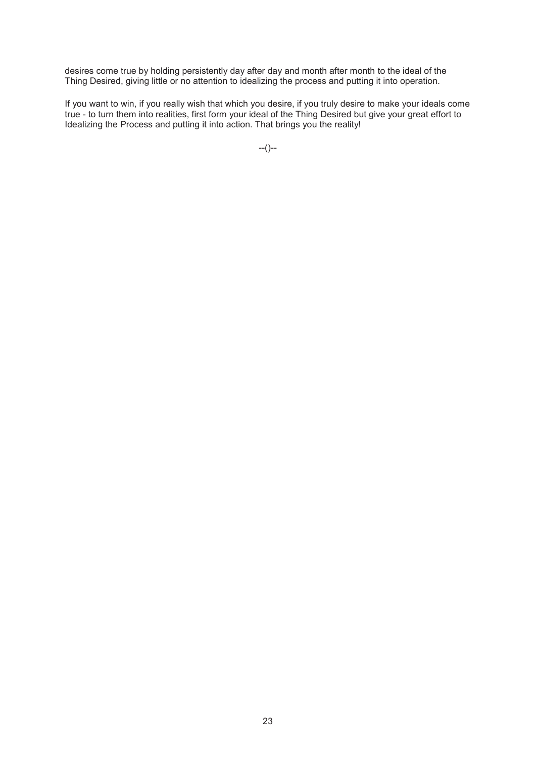desires come true by holding persistently day after day and month after month to the ideal of the Thing Desired, giving little or no attention to idealizing the process and putting it into operation.

If you want to win, if you really wish that which you desire, if you truly desire to make your ideals come true - to turn them into realities, first form your ideal of the Thing Desired but give your great effort to Idealizing the Process and putting it into action. That brings you the reality!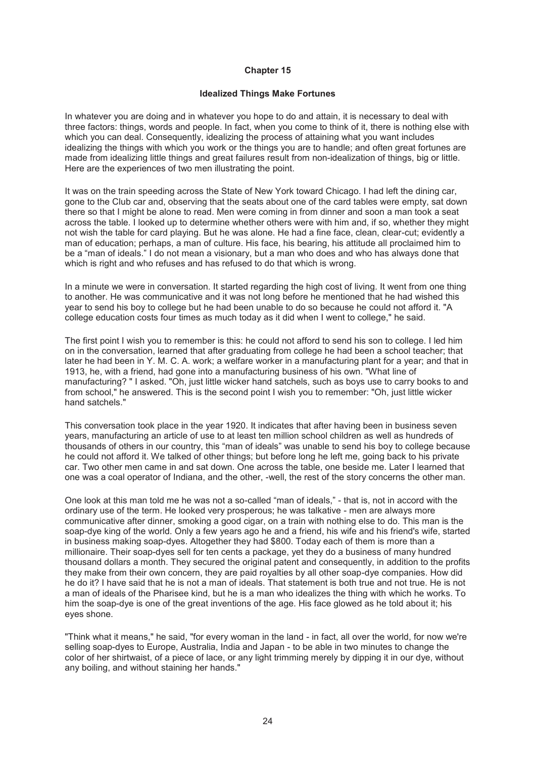#### **Idealized Things Make Fortunes**

In whatever you are doing and in whatever you hope to do and attain, it is necessary to deal with three factors: things, words and people. In fact, when you come to think of it, there is nothing else with which you can deal. Consequently, idealizing the process of attaining what you want includes idealizing the things with which you work or the things you are to handle; and often great fortunes are made from idealizing little things and great failures result from non-idealization of things, big or little. Here are the experiences of two men illustrating the point.

It was on the train speeding across the State of New York toward Chicago. I had left the dining car, gone to the Club car and, observing that the seats about one of the card tables were empty, sat down there so that I might be alone to read. Men were coming in from dinner and soon a man took a seat across the table. I looked up to determine whether others were with him and, if so, whether they might not wish the table for card playing. But he was alone. He had a fine face, clean, clear-cut; evidently a man of education; perhaps, a man of culture. His face, his bearing, his attitude all proclaimed him to be a "man of ideals." I do not mean a visionary, but a man who does and who has always done that which is right and who refuses and has refused to do that which is wrong.

In a minute we were in conversation. It started regarding the high cost of living. It went from one thing to another. He was communicative and it was not long before he mentioned that he had wished this year to send his boy to college but he had been unable to do so because he could not afford it. "A college education costs four times as much today as it did when I went to college," he said.

The first point I wish you to remember is this: he could not afford to send his son to college. I led him on in the conversation, learned that after graduating from college he had been a school teacher; that later he had been in Y. M. C. A. work; a welfare worker in a manufacturing plant for a year; and that in 1913, he, with a friend, had gone into a manufacturing business of his own. "What line of manufacturing? " I asked. "Oh, just little wicker hand satchels, such as boys use to carry books to and from school," he answered. This is the second point I wish you to remember: "Oh, just little wicker hand satchels."

This conversation took place in the year 1920. It indicates that after having been in business seven years, manufacturing an article of use to at least ten million school children as well as hundreds of thousands of others in our country, this "man of ideals" was unable to send his boy to college because he could not afford it. We talked of other things; but before long he left me, going back to his private car. Two other men came in and sat down. One across the table, one beside me. Later I learned that one was a coal operator of Indiana, and the other, -well, the rest of the story concerns the other man.

One look at this man told me he was not a so-called "man of ideals," - that is, not in accord with the ordinary use of the term. He looked very prosperous; he was talkative - men are always more communicative after dinner, smoking a good cigar, on a train with nothing else to do. This man is the soap-dye king of the world. Only a few years ago he and a friend, his wife and his friend's wife, started in business making soap-dyes. Altogether they had \$800. Today each of them is more than a millionaire. Their soap-dyes sell for ten cents a package, yet they do a business of many hundred thousand dollars a month. They secured the original patent and consequently, in addition to the profits they make from their own concern, they are paid royalties by all other soap-dye companies. How did he do it? I have said that he is not a man of ideals. That statement is both true and not true. He is not a man of ideals of the Pharisee kind, but he is a man who idealizes the thing with which he works. To him the soap-dye is one of the great inventions of the age. His face glowed as he told about it; his eyes shone.

"Think what it means," he said, "for every woman in the land - in fact, all over the world, for now we're selling soap-dyes to Europe, Australia, India and Japan - to be able in two minutes to change the color of her shirtwaist, of a piece of lace, or any light trimming merely by dipping it in our dye, without any boiling, and without staining her hands."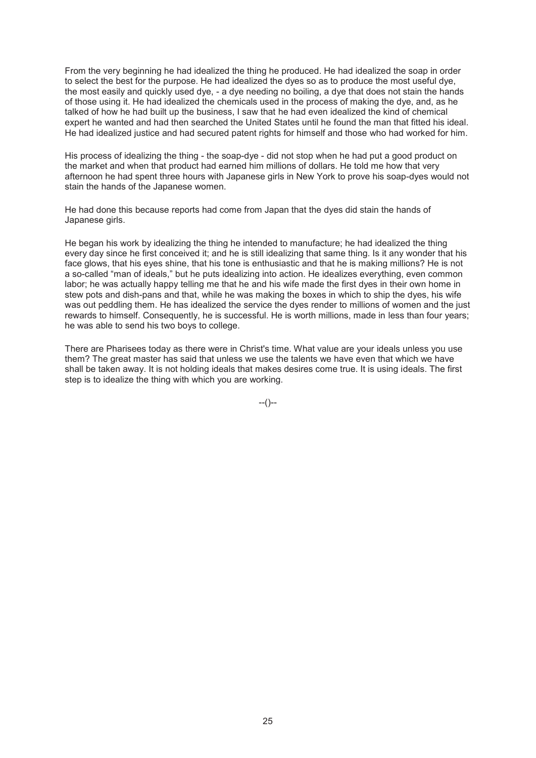From the very beginning he had idealized the thing he produced. He had idealized the soap in order to select the best for the purpose. He had idealized the dyes so as to produce the most useful dye, the most easily and quickly used dye, - a dye needing no boiling, a dye that does not stain the hands of those using it. He had idealized the chemicals used in the process of making the dye, and, as he talked of how he had built up the business, I saw that he had even idealized the kind of chemical expert he wanted and had then searched the United States until he found the man that fitted his ideal. He had idealized justice and had secured patent rights for himself and those who had worked for him.

His process of idealizing the thing - the soap-dye - did not stop when he had put a good product on the market and when that product had earned him millions of dollars. He told me how that very afternoon he had spent three hours with Japanese girls in New York to prove his soap-dyes would not stain the hands of the Japanese women.

He had done this because reports had come from Japan that the dyes did stain the hands of Japanese girls.

He began his work by idealizing the thing he intended to manufacture; he had idealized the thing every day since he first conceived it; and he is still idealizing that same thing. Is it any wonder that his face glows, that his eyes shine, that his tone is enthusiastic and that he is making millions? He is not a so-called "man of ideals," but he puts idealizing into action. He idealizes everything, even common labor; he was actually happy telling me that he and his wife made the first dyes in their own home in stew pots and dish-pans and that, while he was making the boxes in which to ship the dyes, his wife was out peddling them. He has idealized the service the dyes render to millions of women and the just rewards to himself. Consequently, he is successful. He is worth millions, made in less than four years; he was able to send his two boys to college.

There are Pharisees today as there were in Christ's time. What value are your ideals unless you use them? The great master has said that unless we use the talents we have even that which we have shall be taken away. It is not holding ideals that makes desires come true. It is using ideals. The first step is to idealize the thing with which you are working.

 $-(-)$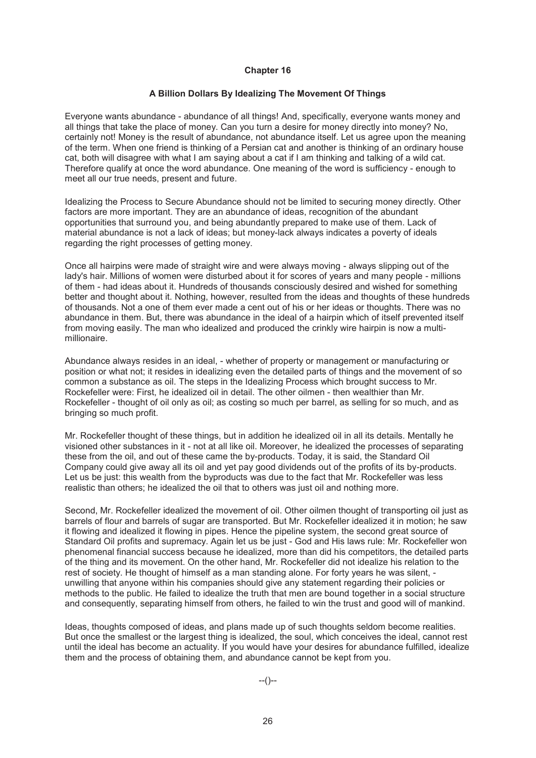#### **A Billion Dollars By Idealizing The Movement Of Things**

Everyone wants abundance - abundance of all things! And, specifically, everyone wants money and all things that take the place of money. Can you turn a desire for money directly into money? No, certainly not! Money is the result of abundance, not abundance itself. Let us agree upon the meaning of the term. When one friend is thinking of a Persian cat and another is thinking of an ordinary house cat, both will disagree with what I am saying about a cat if I am thinking and talking of a wild cat. Therefore qualify at once the word abundance. One meaning of the word is sufficiency - enough to meet all our true needs, present and future.

Idealizing the Process to Secure Abundance should not be limited to securing money directly. Other factors are more important. They are an abundance of ideas, recognition of the abundant opportunities that surround you, and being abundantly prepared to make use of them. Lack of material abundance is not a lack of ideas; but money-lack always indicates a poverty of ideals regarding the right processes of getting money.

Once all hairpins were made of straight wire and were always moving - always slipping out of the lady's hair. Millions of women were disturbed about it for scores of years and many people - millions of them - had ideas about it. Hundreds of thousands consciously desired and wished for something better and thought about it. Nothing, however, resulted from the ideas and thoughts of these hundreds of thousands. Not a one of them ever made a cent out of his or her ideas or thoughts. There was no abundance in them. But, there was abundance in the ideal of a hairpin which of itself prevented itself from moving easily. The man who idealized and produced the crinkly wire hairpin is now a multimillionaire.

Abundance always resides in an ideal, - whether of property or management or manufacturing or position or what not; it resides in idealizing even the detailed parts of things and the movement of so common a substance as oil. The steps in the Idealizing Process which brought success to Mr. Rockefeller were: First, he idealized oil in detail. The other oilmen - then wealthier than Mr. Rockefeller - thought of oil only as oil; as costing so much per barrel, as selling for so much, and as bringing so much profit.

Mr. Rockefeller thought of these things, but in addition he idealized oil in all its details. Mentally he visioned other substances in it - not at all like oil. Moreover, he idealized the processes of separating these from the oil, and out of these came the by-products. Today, it is said, the Standard Oil Company could give away all its oil and yet pay good dividends out of the profits of its by-products. Let us be just: this wealth from the byproducts was due to the fact that Mr. Rockefeller was less realistic than others; he idealized the oil that to others was just oil and nothing more.

Second, Mr. Rockefeller idealized the movement of oil. Other oilmen thought of transporting oil just as barrels of flour and barrels of sugar are transported. But Mr. Rockefeller idealized it in motion; he saw it flowing and idealized it flowing in pipes. Hence the pipeline system, the second great source of Standard Oil profits and supremacy. Again let us be just - God and His laws rule: Mr. Rockefeller won phenomenal financial success because he idealized, more than did his competitors, the detailed parts of the thing and its movement. On the other hand, Mr. Rockefeller did not idealize his relation to the rest of society. He thought of himself as a man standing alone. For forty years he was silent, unwilling that anyone within his companies should give any statement regarding their policies or methods to the public. He failed to idealize the truth that men are bound together in a social structure and consequently, separating himself from others, he failed to win the trust and good will of mankind.

Ideas, thoughts composed of ideas, and plans made up of such thoughts seldom become realities. But once the smallest or the largest thing is idealized, the soul, which conceives the ideal, cannot rest until the ideal has become an actuality. If you would have your desires for abundance fulfilled, idealize them and the process of obtaining them, and abundance cannot be kept from you.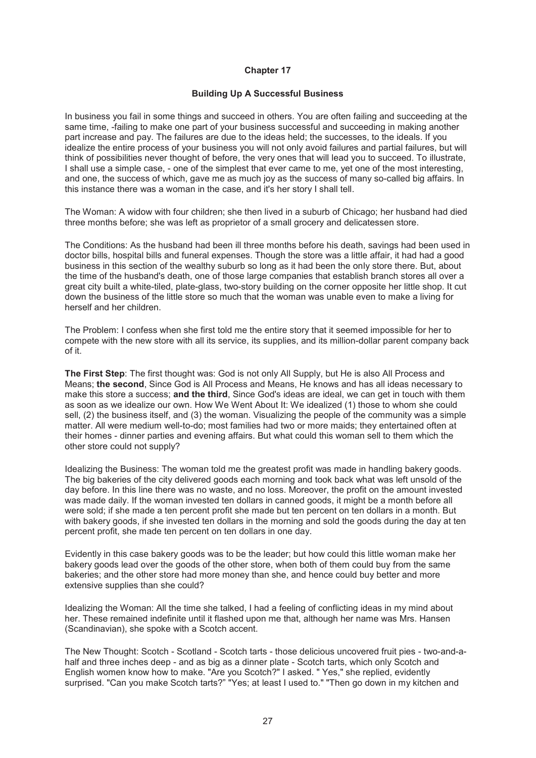#### **Building Up A Successful Business**

In business you fail in some things and succeed in others. You are often failing and succeeding at the same time, -failing to make one part of your business successful and succeeding in making another part increase and pay. The failures are due to the ideas held; the successes, to the ideals. If you idealize the entire process of your business you will not only avoid failures and partial failures, but will think of possibilities never thought of before, the very ones that will lead you to succeed. To illustrate, I shall use a simple case, - one of the simplest that ever came to me, yet one of the most interesting, and one, the success of which, gave me as much joy as the success of many so-called big affairs. In this instance there was a woman in the case, and it's her story I shall tell.

The Woman: A widow with four children; she then lived in a suburb of Chicago; her husband had died three months before; she was left as proprietor of a small grocery and delicatessen store.

The Conditions: As the husband had been ill three months before his death, savings had been used in doctor bills, hospital bills and funeral expenses. Though the store was a little affair, it had had a good business in this section of the wealthy suburb so long as it had been the only store there. But, about the time of the husband's death, one of those large companies that establish branch stores all over a great city built a white-tiled, plate-glass, two-story building on the corner opposite her little shop. It cut down the business of the little store so much that the woman was unable even to make a living for herself and her children.

The Problem: I confess when she first told me the entire story that it seemed impossible for her to compete with the new store with all its service, its supplies, and its million-dollar parent company back of it.

**The First Step**: The first thought was: God is not only All Supply, but He is also All Process and Means; **the second**, Since God is All Process and Means, He knows and has all ideas necessary to make this store a success; **and the third**, Since God's ideas are ideal, we can get in touch with them as soon as we idealize our own. How We Went About It: We idealized (1) those to whom she could sell, (2) the business itself, and (3) the woman. Visualizing the people of the community was a simple matter. All were medium well-to-do; most families had two or more maids; they entertained often at their homes - dinner parties and evening affairs. But what could this woman sell to them which the other store could not supply?

Idealizing the Business: The woman told me the greatest profit was made in handling bakery goods. The big bakeries of the city delivered goods each morning and took back what was left unsold of the day before. In this line there was no waste, and no loss. Moreover, the profit on the amount invested was made daily. If the woman invested ten dollars in canned goods, it might be a month before all were sold; if she made a ten percent profit she made but ten percent on ten dollars in a month. But with bakery goods, if she invested ten dollars in the morning and sold the goods during the day at ten percent profit, she made ten percent on ten dollars in one day.

Evidently in this case bakery goods was to be the leader; but how could this little woman make her bakery goods lead over the goods of the other store, when both of them could buy from the same bakeries; and the other store had more money than she, and hence could buy better and more extensive supplies than she could?

Idealizing the Woman: All the time she talked, I had a feeling of conflicting ideas in my mind about her. These remained indefinite until it flashed upon me that, although her name was Mrs. Hansen (Scandinavian), she spoke with a Scotch accent.

The New Thought: Scotch - Scotland - Scotch tarts - those delicious uncovered fruit pies - two-and-ahalf and three inches deep - and as big as a dinner plate - Scotch tarts, which only Scotch and English women know how to make. "Are you Scotch?" I asked. " Yes," she replied, evidently surprised. "Can you make Scotch tarts?" "Yes; at least I used to." "Then go down in my kitchen and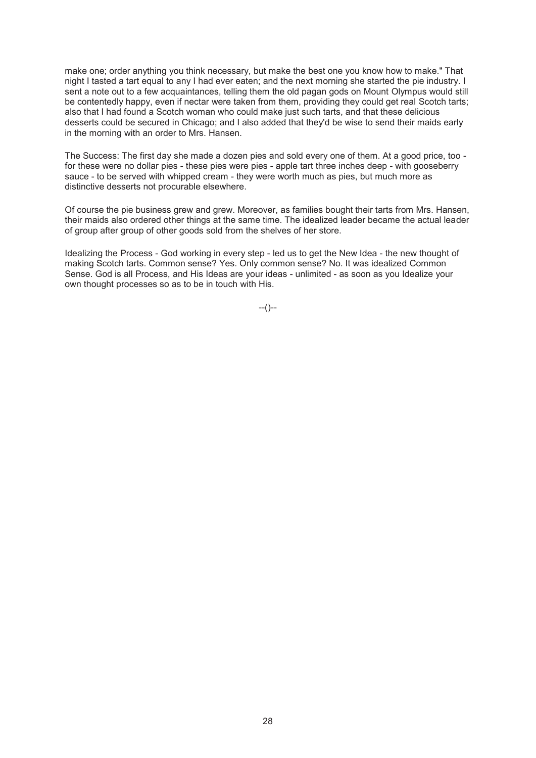make one; order anything you think necessary, but make the best one you know how to make." That night I tasted a tart equal to any I had ever eaten; and the next morning she started the pie industry. I sent a note out to a few acquaintances, telling them the old pagan gods on Mount Olympus would still be contentedly happy, even if nectar were taken from them, providing they could get real Scotch tarts; also that I had found a Scotch woman who could make just such tarts, and that these delicious desserts could be secured in Chicago; and I also added that they'd be wise to send their maids early in the morning with an order to Mrs. Hansen.

The Success: The first day she made a dozen pies and sold every one of them. At a good price, too for these were no dollar pies - these pies were pies - apple tart three inches deep - with gooseberry sauce - to be served with whipped cream - they were worth much as pies, but much more as distinctive desserts not procurable elsewhere.

Of course the pie business grew and grew. Moreover, as families bought their tarts from Mrs. Hansen, their maids also ordered other things at the same time. The idealized leader became the actual leader of group after group of other goods sold from the shelves of her store.

Idealizing the Process - God working in every step - led us to get the New Idea - the new thought of making Scotch tarts. Common sense? Yes. Only common sense? No. It was idealized Common Sense. God is all Process, and His Ideas are your ideas - unlimited - as soon as you Idealize your own thought processes so as to be in touch with His.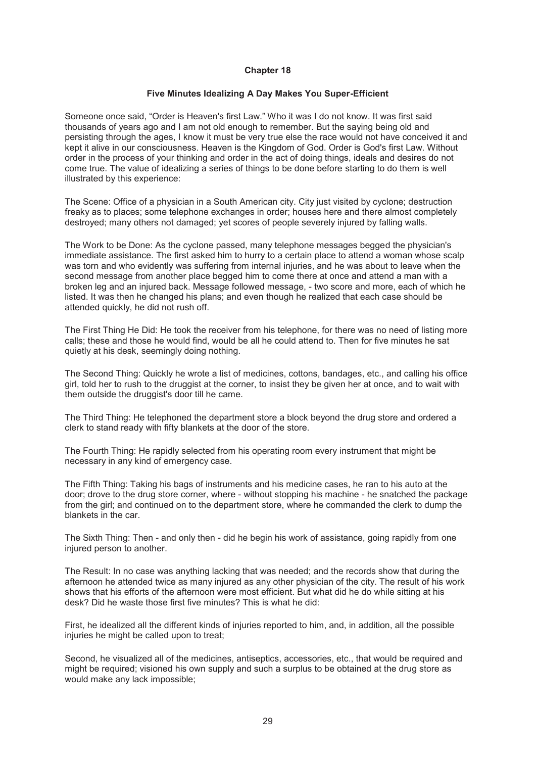#### **Five Minutes Idealizing A Day Makes You Super-Efficient**

Someone once said, "Order is Heaven's first Law." Who it was I do not know. It was first said thousands of years ago and I am not old enough to remember. But the saying being old and persisting through the ages, I know it must be very true else the race would not have conceived it and kept it alive in our consciousness. Heaven is the Kingdom of God. Order is God's first Law. Without order in the process of your thinking and order in the act of doing things, ideals and desires do not come true. The value of idealizing a series of things to be done before starting to do them is well illustrated by this experience:

The Scene: Office of a physician in a South American city. City just visited by cyclone; destruction freaky as to places; some telephone exchanges in order; houses here and there almost completely destroyed; many others not damaged; yet scores of people severely injured by falling walls.

The Work to be Done: As the cyclone passed, many telephone messages begged the physician's immediate assistance. The first asked him to hurry to a certain place to attend a woman whose scalp was torn and who evidently was suffering from internal injuries, and he was about to leave when the second message from another place begged him to come there at once and attend a man with a broken leg and an injured back. Message followed message, - two score and more, each of which he listed. It was then he changed his plans; and even though he realized that each case should be attended quickly, he did not rush off.

The First Thing He Did: He took the receiver from his telephone, for there was no need of listing more calls; these and those he would find, would be all he could attend to. Then for five minutes he sat quietly at his desk, seemingly doing nothing.

The Second Thing: Quickly he wrote a list of medicines, cottons, bandages, etc., and calling his office girl, told her to rush to the druggist at the corner, to insist they be given her at once, and to wait with them outside the druggist's door till he came.

The Third Thing: He telephoned the department store a block beyond the drug store and ordered a clerk to stand ready with fifty blankets at the door of the store.

The Fourth Thing: He rapidly selected from his operating room every instrument that might be necessary in any kind of emergency case.

The Fifth Thing: Taking his bags of instruments and his medicine cases, he ran to his auto at the door; drove to the drug store corner, where - without stopping his machine - he snatched the package from the girl; and continued on to the department store, where he commanded the clerk to dump the blankets in the car.

The Sixth Thing: Then - and only then - did he begin his work of assistance, going rapidly from one injured person to another.

The Result: In no case was anything lacking that was needed; and the records show that during the afternoon he attended twice as many injured as any other physician of the city. The result of his work shows that his efforts of the afternoon were most efficient. But what did he do while sitting at his desk? Did he waste those first five minutes? This is what he did:

First, he idealized all the different kinds of injuries reported to him, and, in addition, all the possible injuries he might be called upon to treat;

Second, he visualized all of the medicines, antiseptics, accessories, etc., that would be required and might be required; visioned his own supply and such a surplus to be obtained at the drug store as would make any lack impossible;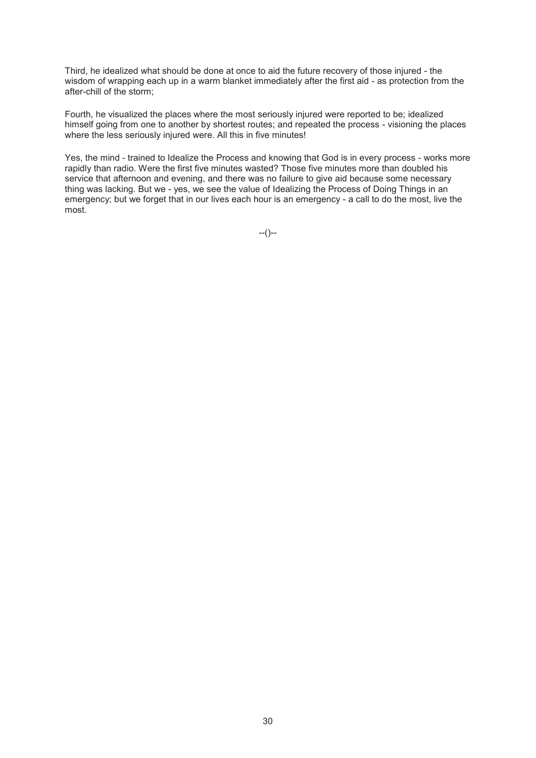Third, he idealized what should be done at once to aid the future recovery of those injured - the wisdom of wrapping each up in a warm blanket immediately after the first aid - as protection from the after-chill of the storm;

Fourth, he visualized the places where the most seriously injured were reported to be; idealized himself going from one to another by shortest routes; and repeated the process - visioning the places where the less seriously injured were. All this in five minutes!

Yes, the mind - trained to Idealize the Process and knowing that God is in every process - works more rapidly than radio. Were the first five minutes wasted? Those five minutes more than doubled his service that afternoon and evening, and there was no failure to give aid because some necessary thing was lacking. But we - yes, we see the value of Idealizing the Process of Doing Things in an emergency; but we forget that in our lives each hour is an emergency - a call to do the most, live the most.

 $-(-)$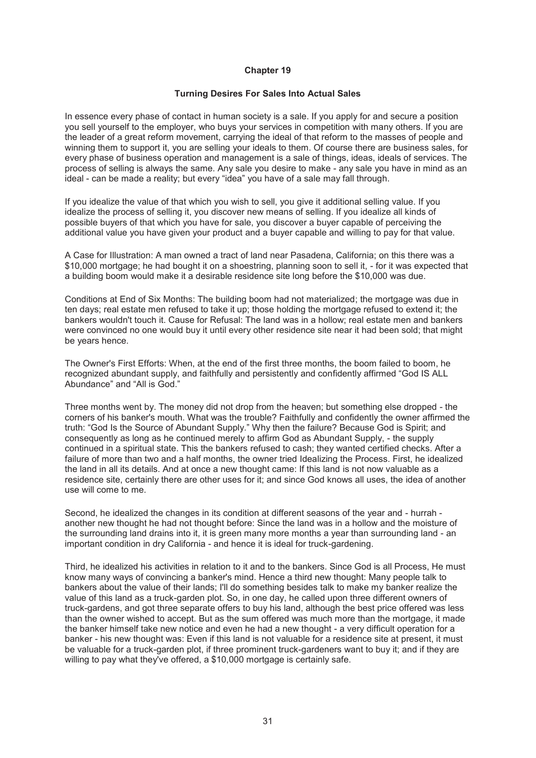#### **Turning Desires For Sales Into Actual Sales**

In essence every phase of contact in human society is a sale. If you apply for and secure a position you sell yourself to the employer, who buys your services in competition with many others. If you are the leader of a great reform movement, carrying the ideal of that reform to the masses of people and winning them to support it, you are selling your ideals to them. Of course there are business sales, for every phase of business operation and management is a sale of things, ideas, ideals of services. The process of selling is always the same. Any sale you desire to make - any sale you have in mind as an ideal - can be made a reality; but every "idea" you have of a sale may fall through.

If you idealize the value of that which you wish to sell, you give it additional selling value. If you idealize the process of selling it, you discover new means of selling. If you idealize all kinds of possible buyers of that which you have for sale, you discover a buyer capable of perceiving the additional value you have given your product and a buyer capable and willing to pay for that value.

A Case for Illustration: A man owned a tract of land near Pasadena, California; on this there was a \$10,000 mortgage; he had bought it on a shoestring, planning soon to sell it, - for it was expected that a building boom would make it a desirable residence site long before the \$10,000 was due.

Conditions at End of Six Months: The building boom had not materialized; the mortgage was due in ten days; real estate men refused to take it up; those holding the mortgage refused to extend it; the bankers wouldn't touch it. Cause for Refusal: The land was in a hollow; real estate men and bankers were convinced no one would buy it until every other residence site near it had been sold; that might be years hence.

The Owner's First Efforts: When, at the end of the first three months, the boom failed to boom, he recognized abundant supply, and faithfully and persistently and confidently affirmed "God IS ALL Abundance" and "All is God."

Three months went by. The money did not drop from the heaven; but something else dropped - the corners of his banker's mouth. What was the trouble? Faithfully and confidently the owner affirmed the truth: "God Is the Source of Abundant Supply." Why then the failure? Because God is Spirit; and consequently as long as he continued merely to affirm God as Abundant Supply, - the supply continued in a spiritual state. This the bankers refused to cash; they wanted certified checks. After a failure of more than two and a half months, the owner tried Idealizing the Process. First, he idealized the land in all its details. And at once a new thought came: If this land is not now valuable as a residence site, certainly there are other uses for it; and since God knows all uses, the idea of another use will come to me.

Second, he idealized the changes in its condition at different seasons of the year and - hurrah another new thought he had not thought before: Since the land was in a hollow and the moisture of the surrounding land drains into it, it is green many more months a year than surrounding land - an important condition in dry California - and hence it is ideal for truck-gardening.

Third, he idealized his activities in relation to it and to the bankers. Since God is all Process, He must know many ways of convincing a banker's mind. Hence a third new thought: Many people talk to bankers about the value of their lands; I'll do something besides talk to make my banker realize the value of this land as a truck-garden plot. So, in one day, he called upon three different owners of truck-gardens, and got three separate offers to buy his land, although the best price offered was less than the owner wished to accept. But as the sum offered was much more than the mortgage, it made the banker himself take new notice and even he had a new thought - a very difficult operation for a banker - his new thought was: Even if this land is not valuable for a residence site at present, it must be valuable for a truck-garden plot, if three prominent truck-gardeners want to buy it; and if they are willing to pay what they've offered, a \$10,000 mortgage is certainly safe.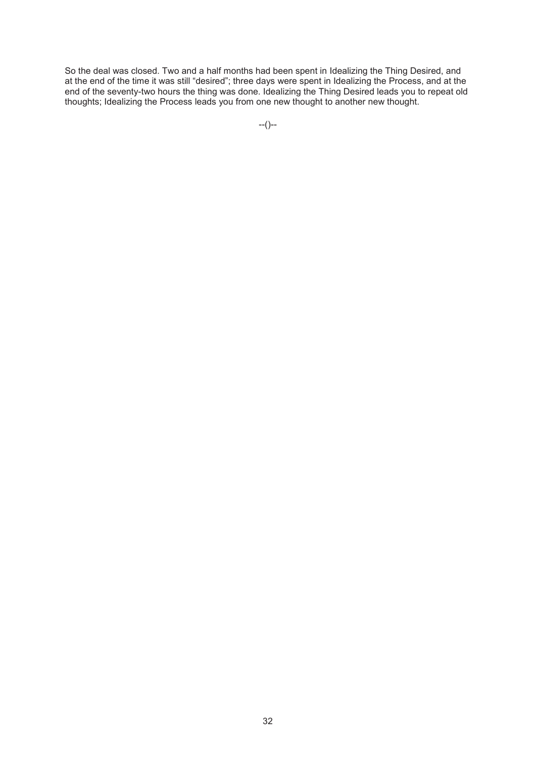So the deal was closed. Two and a half months had been spent in Idealizing the Thing Desired, and at the end of the time it was still "desired"; three days were spent in Idealizing the Process, and at the end of the seventy-two hours the thing was done. Idealizing the Thing Desired leads you to repeat old thoughts; Idealizing the Process leads you from one new thought to another new thought.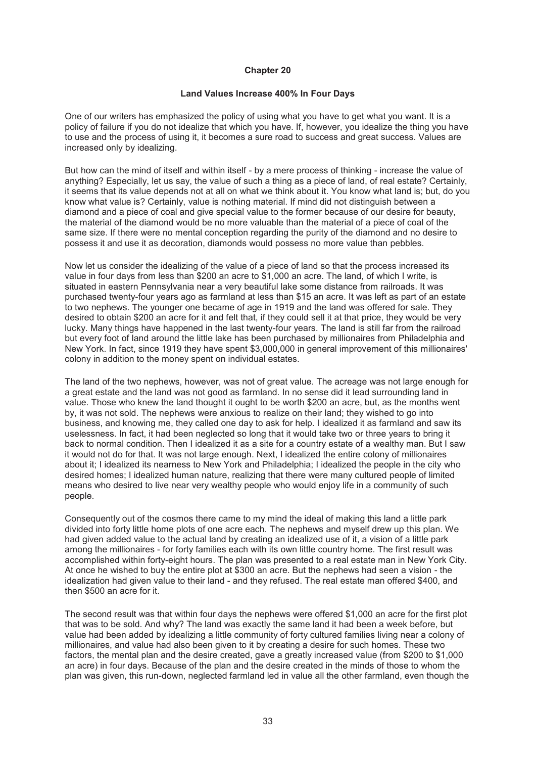## **Land Values Increase 400% In Four Days**

One of our writers has emphasized the policy of using what you have to get what you want. It is a policy of failure if you do not idealize that which you have. If, however, you idealize the thing you have to use and the process of using it, it becomes a sure road to success and great success. Values are increased only by idealizing.

But how can the mind of itself and within itself - by a mere process of thinking - increase the value of anything? Especially, let us say, the value of such a thing as a piece of land, of real estate? Certainly, it seems that its value depends not at all on what we think about it. You know what land is; but, do you know what value is? Certainly, value is nothing material. If mind did not distinguish between a diamond and a piece of coal and give special value to the former because of our desire for beauty, the material of the diamond would be no more valuable than the material of a piece of coal of the same size. If there were no mental conception regarding the purity of the diamond and no desire to possess it and use it as decoration, diamonds would possess no more value than pebbles.

Now let us consider the idealizing of the value of a piece of land so that the process increased its value in four days from less than \$200 an acre to \$1,000 an acre. The land, of which I write, is situated in eastern Pennsylvania near a very beautiful lake some distance from railroads. It was purchased twenty-four years ago as farmland at less than \$15 an acre. It was left as part of an estate to two nephews. The younger one became of age in 1919 and the land was offered for sale. They desired to obtain \$200 an acre for it and felt that, if they could sell it at that price, they would be very lucky. Many things have happened in the last twenty-four years. The land is still far from the railroad but every foot of land around the little lake has been purchased by millionaires from Philadelphia and New York. In fact, since 1919 they have spent \$3,000,000 in general improvement of this millionaires' colony in addition to the money spent on individual estates.

The land of the two nephews, however, was not of great value. The acreage was not large enough for a great estate and the land was not good as farmland. In no sense did it lead surrounding land in value. Those who knew the land thought it ought to be worth \$200 an acre, but, as the months went by, it was not sold. The nephews were anxious to realize on their land; they wished to go into business, and knowing me, they called one day to ask for help. I idealized it as farmland and saw its uselessness. In fact, it had been neglected so long that it would take two or three years to bring it back to normal condition. Then I idealized it as a site for a country estate of a wealthy man. But I saw it would not do for that. It was not large enough. Next, I idealized the entire colony of millionaires about it; I idealized its nearness to New York and Philadelphia; I idealized the people in the city who desired homes; I idealized human nature, realizing that there were many cultured people of limited means who desired to live near very wealthy people who would enjoy life in a community of such people.

Consequently out of the cosmos there came to my mind the ideal of making this land a little park divided into forty little home plots of one acre each. The nephews and myself drew up this plan. We had given added value to the actual land by creating an idealized use of it, a vision of a little park among the millionaires - for forty families each with its own little country home. The first result was accomplished within forty-eight hours. The plan was presented to a real estate man in New York City. At once he wished to buy the entire plot at \$300 an acre. But the nephews had seen a vision - the idealization had given value to their land - and they refused. The real estate man offered \$400, and then \$500 an acre for it.

The second result was that within four days the nephews were offered \$1,000 an acre for the first plot that was to be sold. And why? The land was exactly the same land it had been a week before, but value had been added by idealizing a little community of forty cultured families living near a colony of millionaires, and value had also been given to it by creating a desire for such homes. These two factors, the mental plan and the desire created, gave a greatly increased value (from \$200 to \$1,000 an acre) in four days. Because of the plan and the desire created in the minds of those to whom the plan was given, this run-down, neglected farmland led in value all the other farmland, even though the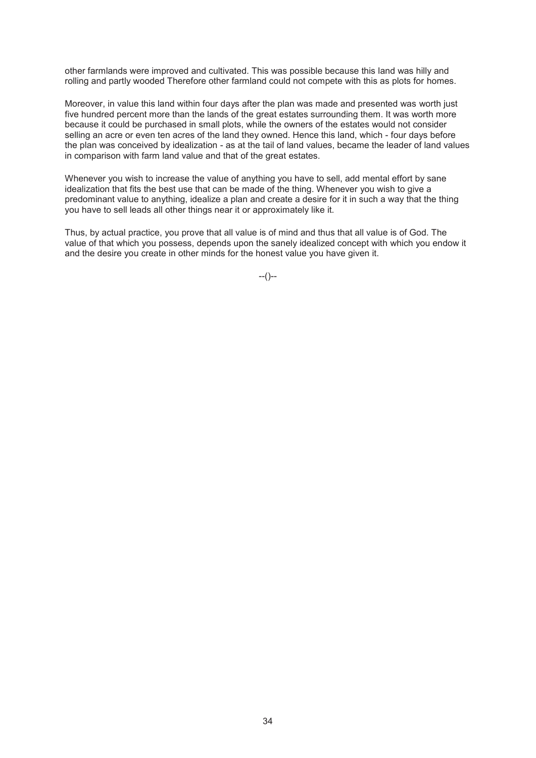other farmlands were improved and cultivated. This was possible because this land was hilly and rolling and partly wooded Therefore other farmland could not compete with this as plots for homes.

Moreover, in value this land within four days after the plan was made and presented was worth just five hundred percent more than the lands of the great estates surrounding them. It was worth more because it could be purchased in small plots, while the owners of the estates would not consider selling an acre or even ten acres of the land they owned. Hence this land, which - four days before the plan was conceived by idealization - as at the tail of land values, became the leader of land values in comparison with farm land value and that of the great estates.

Whenever you wish to increase the value of anything you have to sell, add mental effort by sane idealization that fits the best use that can be made of the thing. Whenever you wish to give a predominant value to anything, idealize a plan and create a desire for it in such a way that the thing you have to sell leads all other things near it or approximately like it.

Thus, by actual practice, you prove that all value is of mind and thus that all value is of God. The value of that which you possess, depends upon the sanely idealized concept with which you endow it and the desire you create in other minds for the honest value you have given it.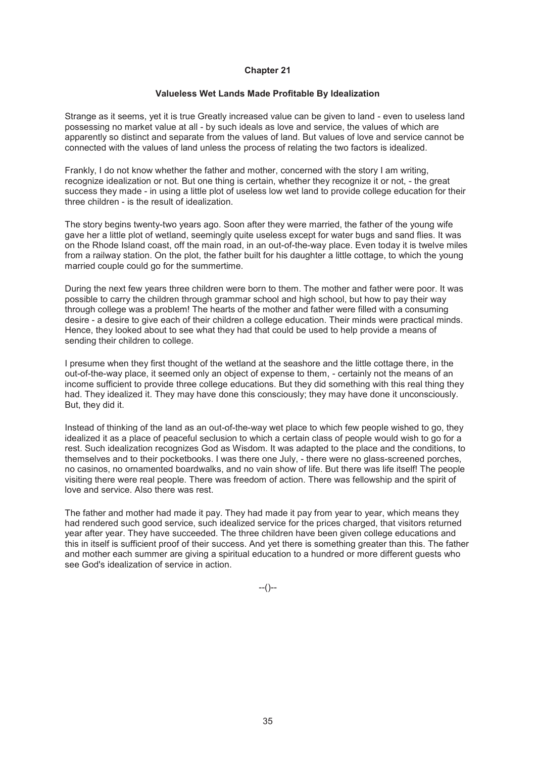#### **Valueless Wet Lands Made Profitable By Idealization**

Strange as it seems, yet it is true Greatly increased value can be given to land - even to useless land possessing no market value at all - by such ideals as love and service, the values of which are apparently so distinct and separate from the values of land. But values of love and service cannot be connected with the values of land unless the process of relating the two factors is idealized.

Frankly, I do not know whether the father and mother, concerned with the story I am writing, recognize idealization or not. But one thing is certain, whether they recognize it or not, - the great success they made - in using a little plot of useless low wet land to provide college education for their three children - is the result of idealization.

The story begins twenty-two years ago. Soon after they were married, the father of the young wife gave her a little plot of wetland, seemingly quite useless except for water bugs and sand flies. It was on the Rhode Island coast, off the main road, in an out-of-the-way place. Even today it is twelve miles from a railway station. On the plot, the father built for his daughter a little cottage, to which the young married couple could go for the summertime.

During the next few years three children were born to them. The mother and father were poor. It was possible to carry the children through grammar school and high school, but how to pay their way through college was a problem! The hearts of the mother and father were filled with a consuming desire - a desire to give each of their children a college education. Their minds were practical minds. Hence, they looked about to see what they had that could be used to help provide a means of sending their children to college.

I presume when they first thought of the wetland at the seashore and the little cottage there, in the out-of-the-way place, it seemed only an object of expense to them, - certainly not the means of an income sufficient to provide three college educations. But they did something with this real thing they had. They idealized it. They may have done this consciously; they may have done it unconsciously. But, they did it.

Instead of thinking of the land as an out-of-the-way wet place to which few people wished to go, they idealized it as a place of peaceful seclusion to which a certain class of people would wish to go for a rest. Such idealization recognizes God as Wisdom. It was adapted to the place and the conditions, to themselves and to their pocketbooks. I was there one July, - there were no glass-screened porches, no casinos, no ornamented boardwalks, and no vain show of life. But there was life itself! The people visiting there were real people. There was freedom of action. There was fellowship and the spirit of love and service. Also there was rest.

The father and mother had made it pay. They had made it pay from year to year, which means they had rendered such good service, such idealized service for the prices charged, that visitors returned year after year. They have succeeded. The three children have been given college educations and this in itself is sufficient proof of their success. And yet there is something greater than this. The father and mother each summer are giving a spiritual education to a hundred or more different guests who see God's idealization of service in action.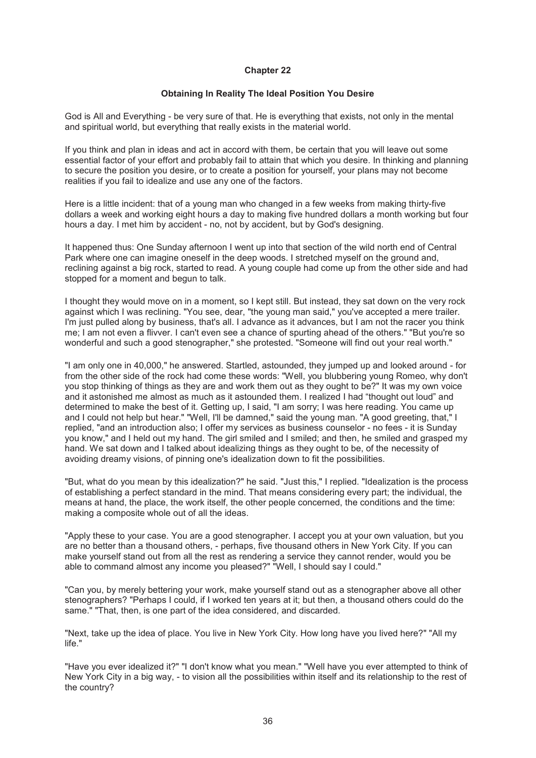## **Obtaining In Reality The Ideal Position You Desire**

God is All and Everything - be very sure of that. He is everything that exists, not only in the mental and spiritual world, but everything that really exists in the material world.

If you think and plan in ideas and act in accord with them, be certain that you will leave out some essential factor of your effort and probably fail to attain that which you desire. In thinking and planning to secure the position you desire, or to create a position for yourself, your plans may not become realities if you fail to idealize and use any one of the factors.

Here is a little incident: that of a young man who changed in a few weeks from making thirty-five dollars a week and working eight hours a day to making five hundred dollars a month working but four hours a day. I met him by accident - no, not by accident, but by God's designing.

It happened thus: One Sunday afternoon I went up into that section of the wild north end of Central Park where one can imagine oneself in the deep woods. I stretched myself on the ground and, reclining against a big rock, started to read. A young couple had come up from the other side and had stopped for a moment and begun to talk.

I thought they would move on in a moment, so I kept still. But instead, they sat down on the very rock against which I was reclining. "You see, dear, "the young man said," you've accepted a mere trailer. I'm just pulled along by business, that's all. I advance as it advances, but I am not the racer you think me; I am not even a flivver. I can't even see a chance of spurting ahead of the others." "But you're so wonderful and such a good stenographer," she protested. "Someone will find out your real worth."

"I am only one in 40,000," he answered. Startled, astounded, they jumped up and looked around - for from the other side of the rock had come these words: "Well, you blubbering young Romeo, why don't you stop thinking of things as they are and work them out as they ought to be?" It was my own voice and it astonished me almost as much as it astounded them. I realized I had "thought out loud" and determined to make the best of it. Getting up, I said, "I am sorry; I was here reading. You came up and I could not help but hear." "Well, I'll be damned," said the young man. "A good greeting, that," I replied, "and an introduction also; I offer my services as business counselor - no fees - it is Sunday you know," and I held out my hand. The girl smiled and I smiled; and then, he smiled and grasped my hand. We sat down and I talked about idealizing things as they ought to be, of the necessity of avoiding dreamy visions, of pinning one's idealization down to fit the possibilities.

"But, what do you mean by this idealization?" he said. "Just this," I replied. "Idealization is the process of establishing a perfect standard in the mind. That means considering every part; the individual, the means at hand, the place, the work itself, the other people concerned, the conditions and the time: making a composite whole out of all the ideas.

"Apply these to your case. You are a good stenographer. I accept you at your own valuation, but you are no better than a thousand others, - perhaps, five thousand others in New York City. If you can make yourself stand out from all the rest as rendering a service they cannot render, would you be able to command almost any income you pleased?" "Well, I should say I could."

"Can you, by merely bettering your work, make yourself stand out as a stenographer above all other stenographers? "Perhaps I could, if I worked ten years at it; but then, a thousand others could do the same." "That, then, is one part of the idea considered, and discarded.

"Next, take up the idea of place. You live in New York City. How long have you lived here?" "All my life."

"Have you ever idealized it?" "I don't know what you mean." "Well have you ever attempted to think of New York City in a big way, - to vision all the possibilities within itself and its relationship to the rest of the country?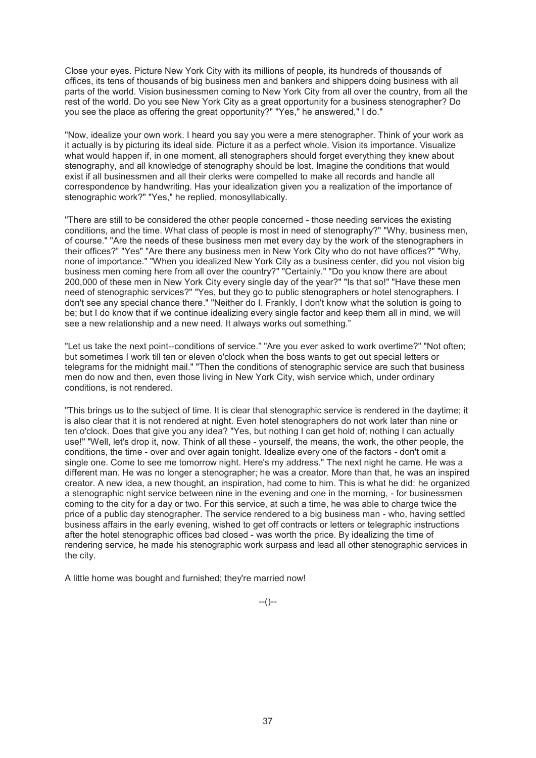Close your eyes. Picture New York City with its millions of people, its hundreds of thousands of offices, its tens of thousands of big business men and bankers and shippers doing business with all parts of the world. Vision businessmen coming to New York City from all over the country, from all the rest of the world. Do you see New York City as a great opportunity for a business stenographer? Do you see the place as offering the great opportunity?" "Yes," he answered," I do."

"Now, idealize your own work. I heard you say you were a mere stenographer. Think of your work as it actually is by picturing its ideal side. Picture it as a perfect whole. Vision its importance. Visualize what would happen if, in one moment, all stenographers should forget everything they knew about stenography, and all knowledge of stenography should be lost. Imagine the conditions that would exist if all businessmen and all their clerks were compelled to make all records and handle all correspondence by handwriting. Has your idealization given you a realization of the importance of stenographic work?" "Yes," he replied, monosyllabically.

"There are still to be considered the other people concerned - those needing services the existing conditions, and the time. What class of people is most in need of stenography?" "Why, business men, of course." "Are the needs of these business men met every day by the work of the stenographers in their offices?" "Yes" "Are there any business men in New York City who do not have offices?" "Why, none of importance." "When you idealized New York City as a business center, did you not vision big business men coming here from all over the country?" "Certainly." "Do you know there are about 200,000 of these men in New York City every single day of the year?" "Is that so!" "Have these men need of stenographic services?" "Yes, but they go to public stenographers or hotel stenographers. I don't see any special chance there." "Neither do I. Frankly, I don't know what the solution is going to be; but I do know that if we continue idealizing every single factor and keep them all in mind, we will see a new relationship and a new need. It always works out something."

"Let us take the next point--conditions of service." "Are you ever asked to work overtime?" "Not often; but sometimes I work till ten or eleven o'clock when the boss wants to get out special letters or telegrams for the midnight mail." "Then the conditions of stenographic service are such that business men do now and then, even those living in New York City, wish service which, under ordinary conditions, is not rendered.

"This brings us to the subject of time. It is clear that stenographic service is rendered in the daytime; it is also clear that it is not rendered at night. Even hotel stenographers do not work later than nine or ten o'clock. Does that give you any idea? "Yes, but nothing I can get hold of; nothing I can actually use!" "Well, let's drop it, now. Think of all these - yourself, the means, the work, the other people, the conditions, the time - over and over again tonight. Idealize every one of the factors - don't omit a single one. Come to see me tomorrow night. Here's my address." The next night he came. He was a different man. He was no longer a stenographer; he was a creator. More than that, he was an inspired creator. A new idea, a new thought, an inspiration, had come to him. This is what he did: he organized a stenographic night service between nine in the evening and one in the morning, - for businessmen coming to the city for a day or two. For this service, at such a time, he was able to charge twice the price of a public day stenographer. The service rendered to a big business man - who, having settled business affairs in the early evening, wished to get off contracts or letters or telegraphic instructions after the hotel stenographic offices bad closed - was worth the price. By idealizing the time of rendering service, he made his stenographic work surpass and lead all other stenographic services in the city.

A little home was bought and furnished; they're married now!

 $-(-)$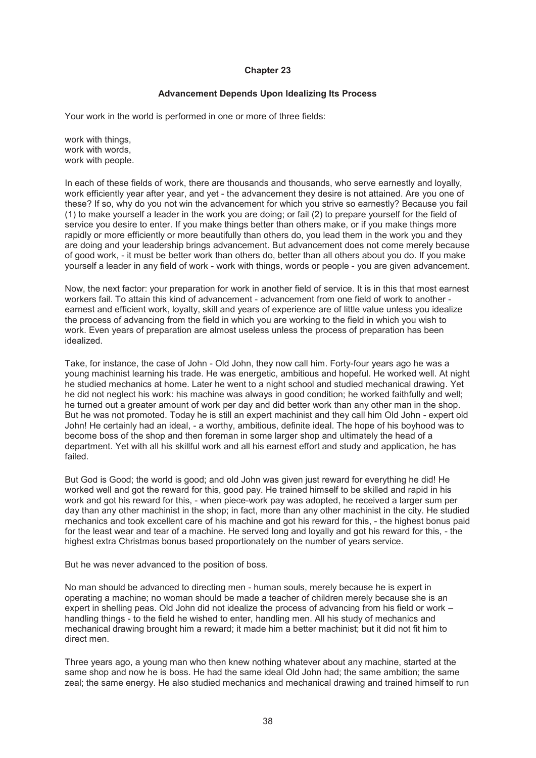# **Advancement Depends Upon Idealizing Its Process**

Your work in the world is performed in one or more of three fields:

work with things, work with words, work with people.

In each of these fields of work, there are thousands and thousands, who serve earnestly and loyally, work efficiently year after year, and yet - the advancement they desire is not attained. Are you one of these? If so, why do you not win the advancement for which you strive so earnestly? Because you fail (1) to make yourself a leader in the work you are doing; or fail (2) to prepare yourself for the field of service you desire to enter. If you make things better than others make, or if you make things more rapidly or more efficiently or more beautifully than others do, you lead them in the work you and they are doing and your leadership brings advancement. But advancement does not come merely because of good work, - it must be better work than others do, better than all others about you do. If you make yourself a leader in any field of work - work with things, words or people - you are given advancement.

Now, the next factor: your preparation for work in another field of service. It is in this that most earnest workers fail. To attain this kind of advancement - advancement from one field of work to another earnest and efficient work, loyalty, skill and years of experience are of little value unless you idealize the process of advancing from the field in which you are working to the field in which you wish to work. Even years of preparation are almost useless unless the process of preparation has been idealized.

Take, for instance, the case of John - Old John, they now call him. Forty-four years ago he was a young machinist learning his trade. He was energetic, ambitious and hopeful. He worked well. At night he studied mechanics at home. Later he went to a night school and studied mechanical drawing. Yet he did not neglect his work: his machine was always in good condition; he worked faithfully and well; he turned out a greater amount of work per day and did better work than any other man in the shop. But he was not promoted. Today he is still an expert machinist and they call him Old John - expert old John! He certainly had an ideal, - a worthy, ambitious, definite ideal. The hope of his boyhood was to become boss of the shop and then foreman in some larger shop and ultimately the head of a department. Yet with all his skillful work and all his earnest effort and study and application, he has failed.

But God is Good; the world is good; and old John was given just reward for everything he did! He worked well and got the reward for this, good pay. He trained himself to be skilled and rapid in his work and got his reward for this, - when piece-work pay was adopted, he received a larger sum per day than any other machinist in the shop; in fact, more than any other machinist in the city. He studied mechanics and took excellent care of his machine and got his reward for this, - the highest bonus paid for the least wear and tear of a machine. He served long and loyally and got his reward for this, - the highest extra Christmas bonus based proportionately on the number of years service.

But he was never advanced to the position of boss.

No man should be advanced to directing men - human souls, merely because he is expert in operating a machine; no woman should be made a teacher of children merely because she is an expert in shelling peas. Old John did not idealize the process of advancing from his field or work – handling things - to the field he wished to enter, handling men. All his study of mechanics and mechanical drawing brought him a reward; it made him a better machinist; but it did not fit him to direct men.

Three years ago, a young man who then knew nothing whatever about any machine, started at the same shop and now he is boss. He had the same ideal Old John had; the same ambition; the same zeal; the same energy. He also studied mechanics and mechanical drawing and trained himself to run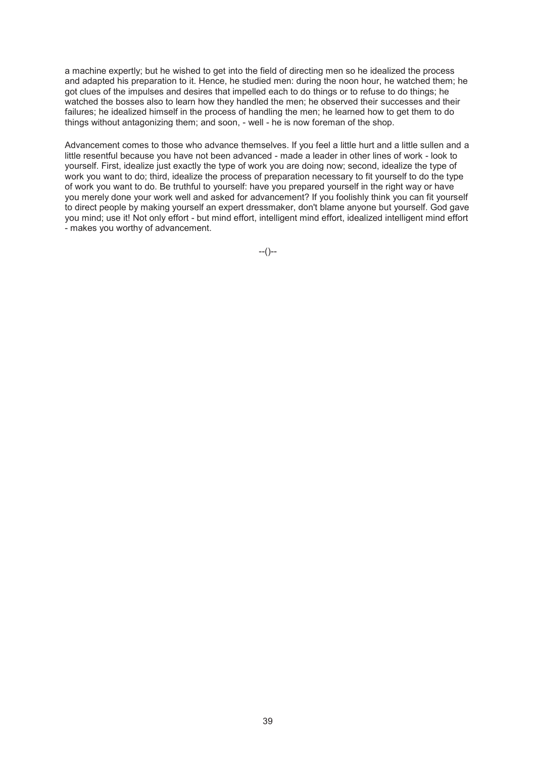a machine expertly; but he wished to get into the field of directing men so he idealized the process and adapted his preparation to it. Hence, he studied men: during the noon hour, he watched them; he got clues of the impulses and desires that impelled each to do things or to refuse to do things; he watched the bosses also to learn how they handled the men; he observed their successes and their failures; he idealized himself in the process of handling the men; he learned how to get them to do things without antagonizing them; and soon, - well - he is now foreman of the shop.

Advancement comes to those who advance themselves. If you feel a little hurt and a little sullen and a little resentful because you have not been advanced - made a leader in other lines of work - look to yourself. First, idealize just exactly the type of work you are doing now; second, idealize the type of work you want to do; third, idealize the process of preparation necessary to fit yourself to do the type of work you want to do. Be truthful to yourself: have you prepared yourself in the right way or have you merely done your work well and asked for advancement? If you foolishly think you can fit yourself to direct people by making yourself an expert dressmaker, don't blame anyone but yourself. God gave you mind; use it! Not only effort - but mind effort, intelligent mind effort, idealized intelligent mind effort - makes you worthy of advancement.

 $-(-)$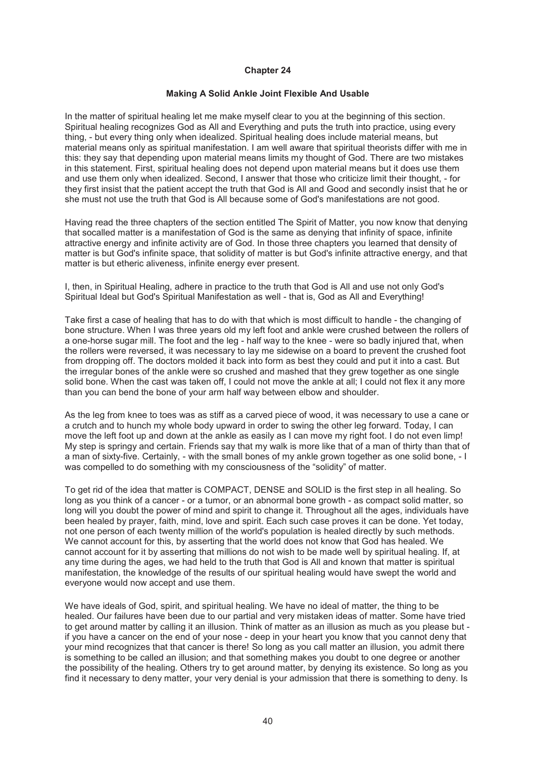#### **Making A Solid Ankle Joint Flexible And Usable**

In the matter of spiritual healing let me make myself clear to you at the beginning of this section. Spiritual healing recognizes God as All and Everything and puts the truth into practice, using every thing, - but every thing only when idealized. Spiritual healing does include material means, but material means only as spiritual manifestation. I am well aware that spiritual theorists differ with me in this: they say that depending upon material means limits my thought of God. There are two mistakes in this statement. First, spiritual healing does not depend upon material means but it does use them and use them only when idealized. Second, I answer that those who criticize limit their thought, - for they first insist that the patient accept the truth that God is All and Good and secondly insist that he or she must not use the truth that God is All because some of God's manifestations are not good.

Having read the three chapters of the section entitled The Spirit of Matter, you now know that denying that socalled matter is a manifestation of God is the same as denying that infinity of space, infinite attractive energy and infinite activity are of God. In those three chapters you learned that density of matter is but God's infinite space, that solidity of matter is but God's infinite attractive energy, and that matter is but etheric aliveness, infinite energy ever present.

I, then, in Spiritual Healing, adhere in practice to the truth that God is All and use not only God's Spiritual Ideal but God's Spiritual Manifestation as well - that is, God as All and Everything!

Take first a case of healing that has to do with that which is most difficult to handle - the changing of bone structure. When I was three years old my left foot and ankle were crushed between the rollers of a one-horse sugar mill. The foot and the leg - half way to the knee - were so badly injured that, when the rollers were reversed, it was necessary to lay me sidewise on a board to prevent the crushed foot from dropping off. The doctors molded it back into form as best they could and put it into a cast. But the irregular bones of the ankle were so crushed and mashed that they grew together as one single solid bone. When the cast was taken off, I could not move the ankle at all; I could not flex it any more than you can bend the bone of your arm half way between elbow and shoulder.

As the leg from knee to toes was as stiff as a carved piece of wood, it was necessary to use a cane or a crutch and to hunch my whole body upward in order to swing the other leg forward. Today, I can move the left foot up and down at the ankle as easily as I can move my right foot. I do not even limp! My step is springy and certain. Friends say that my walk is more like that of a man of thirty than that of a man of sixty-five. Certainly, - with the small bones of my ankle grown together as one solid bone, - I was compelled to do something with my consciousness of the "solidity" of matter.

To get rid of the idea that matter is COMPACT, DENSE and SOLID is the first step in all healing. So long as you think of a cancer - or a tumor, or an abnormal bone growth - as compact solid matter, so long will you doubt the power of mind and spirit to change it. Throughout all the ages, individuals have been healed by prayer, faith, mind, love and spirit. Each such case proves it can be done. Yet today, not one person of each twenty million of the world's population is healed directly by such methods. We cannot account for this, by asserting that the world does not know that God has healed. We cannot account for it by asserting that millions do not wish to be made well by spiritual healing. If, at any time during the ages, we had held to the truth that God is All and known that matter is spiritual manifestation, the knowledge of the results of our spiritual healing would have swept the world and everyone would now accept and use them.

We have ideals of God, spirit, and spiritual healing. We have no ideal of matter, the thing to be healed. Our failures have been due to our partial and very mistaken ideas of matter. Some have tried to get around matter by calling it an illusion. Think of matter as an illusion as much as you please but if you have a cancer on the end of your nose - deep in your heart you know that you cannot deny that your mind recognizes that that cancer is there! So long as you call matter an illusion, you admit there is something to be called an illusion; and that something makes you doubt to one degree or another the possibility of the healing. Others try to get around matter, by denying its existence. So long as you find it necessary to deny matter, your very denial is your admission that there is something to deny. Is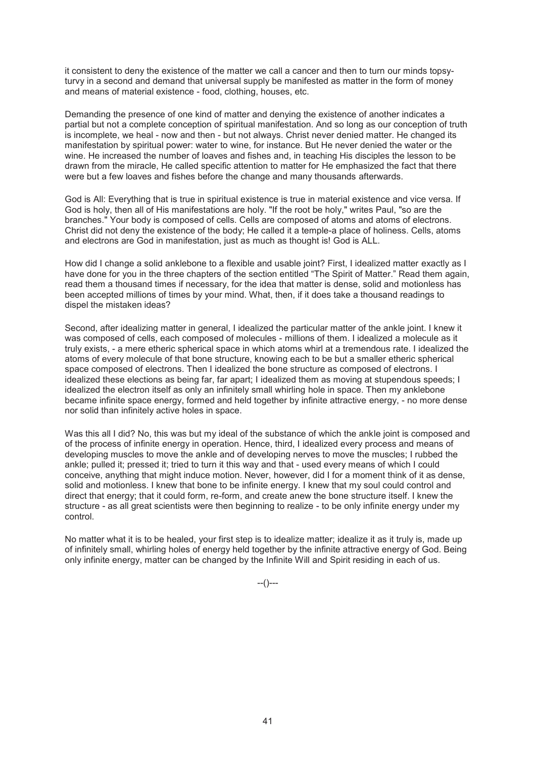it consistent to deny the existence of the matter we call a cancer and then to turn our minds topsyturvy in a second and demand that universal supply be manifested as matter in the form of money and means of material existence - food, clothing, houses, etc.

Demanding the presence of one kind of matter and denying the existence of another indicates a partial but not a complete conception of spiritual manifestation. And so long as our conception of truth is incomplete, we heal - now and then - but not always. Christ never denied matter. He changed its manifestation by spiritual power: water to wine, for instance. But He never denied the water or the wine. He increased the number of loaves and fishes and, in teaching His disciples the lesson to be drawn from the miracle, He called specific attention to matter for He emphasized the fact that there were but a few loaves and fishes before the change and many thousands afterwards.

God is All: Everything that is true in spiritual existence is true in material existence and vice versa. If God is holy, then all of His manifestations are holy. "If the root be holy," writes Paul, "so are the branches." Your body is composed of cells. Cells are composed of atoms and atoms of electrons. Christ did not deny the existence of the body; He called it a temple-a place of holiness. Cells, atoms and electrons are God in manifestation, just as much as thought is! God is ALL.

How did I change a solid anklebone to a flexible and usable joint? First, I idealized matter exactly as I have done for you in the three chapters of the section entitled "The Spirit of Matter." Read them again, read them a thousand times if necessary, for the idea that matter is dense, solid and motionless has been accepted millions of times by your mind. What, then, if it does take a thousand readings to dispel the mistaken ideas?

Second, after idealizing matter in general, I idealized the particular matter of the ankle joint. I knew it was composed of cells, each composed of molecules - millions of them. I idealized a molecule as it truly exists, - a mere etheric spherical space in which atoms whirl at a tremendous rate. I idealized the atoms of every molecule of that bone structure, knowing each to be but a smaller etheric spherical space composed of electrons. Then I idealized the bone structure as composed of electrons. I idealized these elections as being far, far apart; I idealized them as moving at stupendous speeds; I idealized the electron itself as only an infinitely small whirling hole in space. Then my anklebone became infinite space energy, formed and held together by infinite attractive energy, - no more dense nor solid than infinitely active holes in space.

Was this all I did? No, this was but my ideal of the substance of which the ankle joint is composed and of the process of infinite energy in operation. Hence, third, I idealized every process and means of developing muscles to move the ankle and of developing nerves to move the muscles; I rubbed the ankle; pulled it; pressed it; tried to turn it this way and that - used every means of which I could conceive, anything that might induce motion. Never, however, did I for a moment think of it as dense, solid and motionless. I knew that bone to be infinite energy. I knew that my soul could control and direct that energy; that it could form, re-form, and create anew the bone structure itself. I knew the structure - as all great scientists were then beginning to realize - to be only infinite energy under my control.

No matter what it is to be healed, your first step is to idealize matter; idealize it as it truly is, made up of infinitely small, whirling holes of energy held together by the infinite attractive energy of God. Being only infinite energy, matter can be changed by the Infinite Will and Spirit residing in each of us.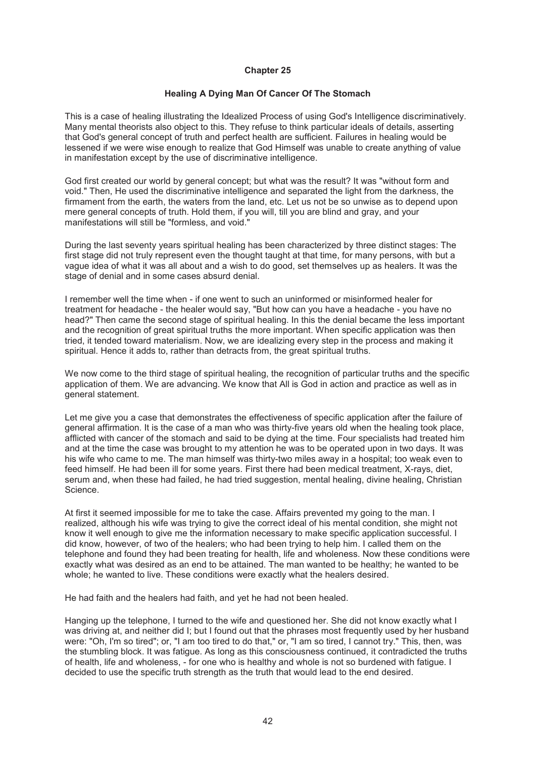## **Healing A Dying Man Of Cancer Of The Stomach**

This is a case of healing illustrating the Idealized Process of using God's Intelligence discriminatively. Many mental theorists also object to this. They refuse to think particular ideals of details, asserting that God's general concept of truth and perfect health are sufficient. Failures in healing would be lessened if we were wise enough to realize that God Himself was unable to create anything of value in manifestation except by the use of discriminative intelligence.

God first created our world by general concept; but what was the result? It was "without form and void." Then, He used the discriminative intelligence and separated the light from the darkness, the firmament from the earth, the waters from the land, etc. Let us not be so unwise as to depend upon mere general concepts of truth. Hold them, if you will, till you are blind and gray, and your manifestations will still be "formless, and void."

During the last seventy years spiritual healing has been characterized by three distinct stages: The first stage did not truly represent even the thought taught at that time, for many persons, with but a vague idea of what it was all about and a wish to do good, set themselves up as healers. It was the stage of denial and in some cases absurd denial.

I remember well the time when - if one went to such an uninformed or misinformed healer for treatment for headache - the healer would say, "But how can you have a headache - you have no head?" Then came the second stage of spiritual healing. In this the denial became the less important and the recognition of great spiritual truths the more important. When specific application was then tried, it tended toward materialism. Now, we are idealizing every step in the process and making it spiritual. Hence it adds to, rather than detracts from, the great spiritual truths.

We now come to the third stage of spiritual healing, the recognition of particular truths and the specific application of them. We are advancing. We know that All is God in action and practice as well as in general statement.

Let me give you a case that demonstrates the effectiveness of specific application after the failure of general affirmation. It is the case of a man who was thirty-five years old when the healing took place, afflicted with cancer of the stomach and said to be dying at the time. Four specialists had treated him and at the time the case was brought to my attention he was to be operated upon in two days. It was his wife who came to me. The man himself was thirty-two miles away in a hospital; too weak even to feed himself. He had been ill for some years. First there had been medical treatment, X-rays, diet, serum and, when these had failed, he had tried suggestion, mental healing, divine healing, Christian Science.

At first it seemed impossible for me to take the case. Affairs prevented my going to the man. I realized, although his wife was trying to give the correct ideal of his mental condition, she might not know it well enough to give me the information necessary to make specific application successful. I did know, however, of two of the healers; who had been trying to help him. I called them on the telephone and found they had been treating for health, life and wholeness. Now these conditions were exactly what was desired as an end to be attained. The man wanted to be healthy; he wanted to be whole; he wanted to live. These conditions were exactly what the healers desired.

He had faith and the healers had faith, and yet he had not been healed.

Hanging up the telephone, I turned to the wife and questioned her. She did not know exactly what I was driving at, and neither did I; but I found out that the phrases most frequently used by her husband were: "Oh, I'm so tired"; or, "I am too tired to do that," or, "I am so tired, I cannot try." This, then, was the stumbling block. It was fatigue. As long as this consciousness continued, it contradicted the truths of health, life and wholeness, - for one who is healthy and whole is not so burdened with fatigue. I decided to use the specific truth strength as the truth that would lead to the end desired.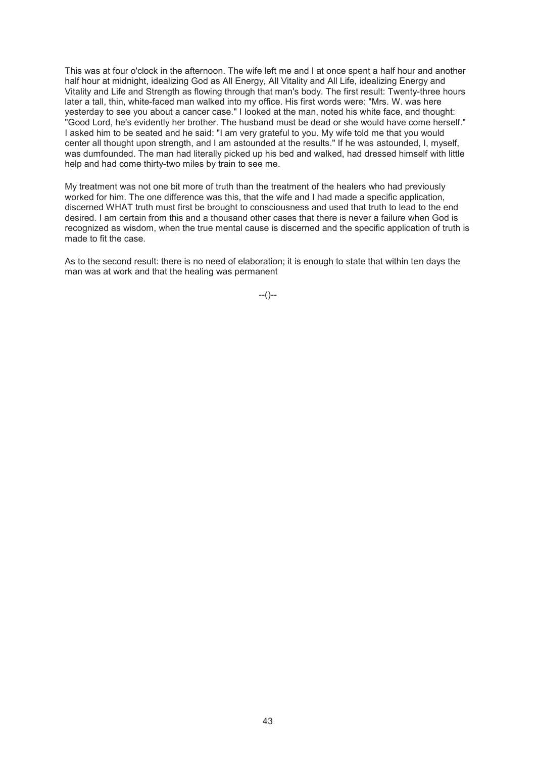This was at four o'clock in the afternoon. The wife left me and I at once spent a half hour and another half hour at midnight, idealizing God as All Energy, All Vitality and All Life, idealizing Energy and Vitality and Life and Strength as flowing through that man's body. The first result: Twenty-three hours later a tall, thin, white-faced man walked into my office. His first words were: "Mrs. W. was here yesterday to see you about a cancer case." I looked at the man, noted his white face, and thought: "Good Lord, he's evidently her brother. The husband must be dead or she would have come herself." I asked him to be seated and he said: "I am very grateful to you. My wife told me that you would center all thought upon strength, and I am astounded at the results." If he was astounded, I, myself, was dumfounded. The man had literally picked up his bed and walked, had dressed himself with little help and had come thirty-two miles by train to see me.

My treatment was not one bit more of truth than the treatment of the healers who had previously worked for him. The one difference was this, that the wife and I had made a specific application, discerned WHAT truth must first be brought to consciousness and used that truth to lead to the end desired. I am certain from this and a thousand other cases that there is never a failure when God is recognized as wisdom, when the true mental cause is discerned and the specific application of truth is made to fit the case.

As to the second result: there is no need of elaboration; it is enough to state that within ten days the man was at work and that the healing was permanent

 $-(-)$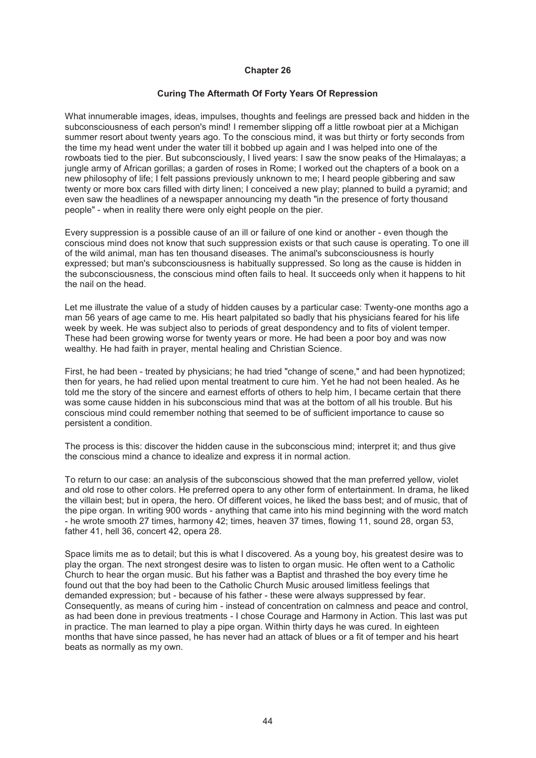# **Curing The Aftermath Of Forty Years Of Repression**

What innumerable images, ideas, impulses, thoughts and feelings are pressed back and hidden in the subconsciousness of each person's mind! I remember slipping off a little rowboat pier at a Michigan summer resort about twenty years ago. To the conscious mind, it was but thirty or forty seconds from the time my head went under the water till it bobbed up again and I was helped into one of the rowboats tied to the pier. But subconsciously, I lived years: I saw the snow peaks of the Himalayas; a jungle army of African gorillas; a garden of roses in Rome; I worked out the chapters of a book on a new philosophy of life; I felt passions previously unknown to me; I heard people gibbering and saw twenty or more box cars filled with dirty linen; I conceived a new play; planned to build a pyramid; and even saw the headlines of a newspaper announcing my death "in the presence of forty thousand people" - when in reality there were only eight people on the pier.

Every suppression is a possible cause of an ill or failure of one kind or another - even though the conscious mind does not know that such suppression exists or that such cause is operating. To one ill of the wild animal, man has ten thousand diseases. The animal's subconsciousness is hourly expressed; but man's subconsciousness is habitually suppressed. So long as the cause is hidden in the subconsciousness, the conscious mind often fails to heal. It succeeds only when it happens to hit the nail on the head.

Let me illustrate the value of a study of hidden causes by a particular case: Twenty-one months ago a man 56 years of age came to me. His heart palpitated so badly that his physicians feared for his life week by week. He was subject also to periods of great despondency and to fits of violent temper. These had been growing worse for twenty years or more. He had been a poor boy and was now wealthy. He had faith in prayer, mental healing and Christian Science.

First, he had been - treated by physicians; he had tried "change of scene," and had been hypnotized; then for years, he had relied upon mental treatment to cure him. Yet he had not been healed. As he told me the story of the sincere and earnest efforts of others to help him, I became certain that there was some cause hidden in his subconscious mind that was at the bottom of all his trouble. But his conscious mind could remember nothing that seemed to be of sufficient importance to cause so persistent a condition.

The process is this: discover the hidden cause in the subconscious mind; interpret it; and thus give the conscious mind a chance to idealize and express it in normal action.

To return to our case: an analysis of the subconscious showed that the man preferred yellow, violet and old rose to other colors. He preferred opera to any other form of entertainment. In drama, he liked the villain best; but in opera, the hero. Of different voices, he liked the bass best; and of music, that of the pipe organ. In writing 900 words - anything that came into his mind beginning with the word match - he wrote smooth 27 times, harmony 42; times, heaven 37 times, flowing 11, sound 28, organ 53, father 41, hell 36, concert 42, opera 28.

Space limits me as to detail; but this is what I discovered. As a young boy, his greatest desire was to play the organ. The next strongest desire was to listen to organ music. He often went to a Catholic Church to hear the organ music. But his father was a Baptist and thrashed the boy every time he found out that the boy had been to the Catholic Church Music aroused limitless feelings that demanded expression; but - because of his father - these were always suppressed by fear. Consequently, as means of curing him - instead of concentration on calmness and peace and control, as had been done in previous treatments - I chose Courage and Harmony in Action. This last was put in practice. The man learned to play a pipe organ. Within thirty days he was cured. In eighteen months that have since passed, he has never had an attack of blues or a fit of temper and his heart beats as normally as my own.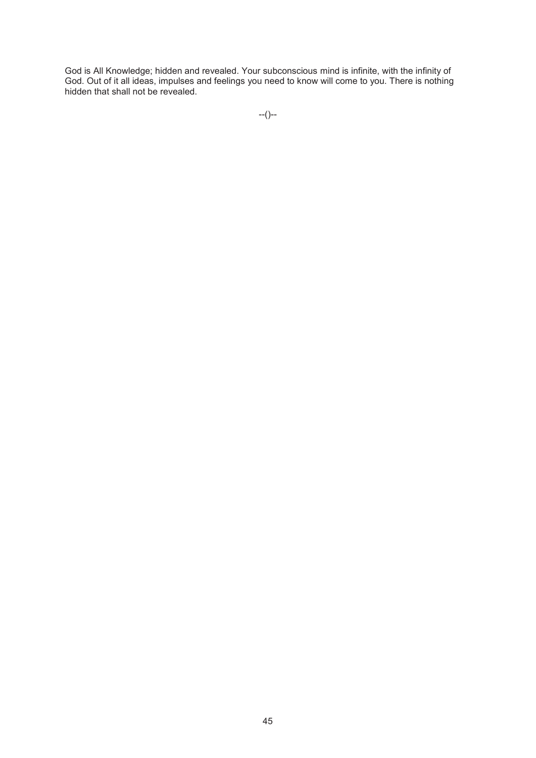God is All Knowledge; hidden and revealed. Your subconscious mind is infinite, with the infinity of God. Out of it all ideas, impulses and feelings you need to know will come to you. There is nothing hidden that shall not be revealed.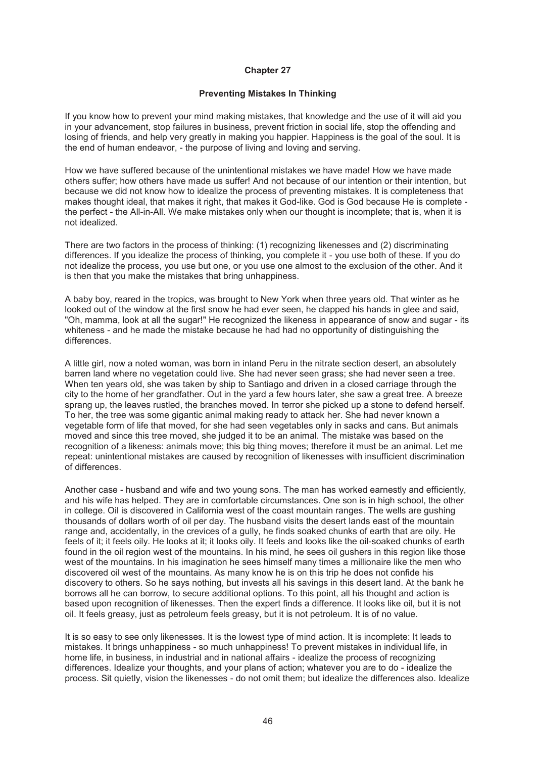#### **Preventing Mistakes In Thinking**

If you know how to prevent your mind making mistakes, that knowledge and the use of it will aid you in your advancement, stop failures in business, prevent friction in social life, stop the offending and losing of friends, and help very greatly in making you happier. Happiness is the goal of the soul. It is the end of human endeavor, - the purpose of living and loving and serving.

How we have suffered because of the unintentional mistakes we have made! How we have made others suffer; how others have made us suffer! And not because of our intention or their intention, but because we did not know how to idealize the process of preventing mistakes. It is completeness that makes thought ideal, that makes it right, that makes it God-like. God is God because He is complete the perfect - the All-in-All. We make mistakes only when our thought is incomplete; that is, when it is not idealized.

There are two factors in the process of thinking: (1) recognizing likenesses and (2) discriminating differences. If you idealize the process of thinking, you complete it - you use both of these. If you do not idealize the process, you use but one, or you use one almost to the exclusion of the other. And it is then that you make the mistakes that bring unhappiness.

A baby boy, reared in the tropics, was brought to New York when three years old. That winter as he looked out of the window at the first snow he had ever seen, he clapped his hands in glee and said, "Oh, mamma, look at all the sugar!" He recognized the likeness in appearance of snow and sugar - its whiteness - and he made the mistake because he had had no opportunity of distinguishing the differences.

A little girl, now a noted woman, was born in inland Peru in the nitrate section desert, an absolutely barren land where no vegetation could live. She had never seen grass; she had never seen a tree. When ten years old, she was taken by ship to Santiago and driven in a closed carriage through the city to the home of her grandfather. Out in the yard a few hours later, she saw a great tree. A breeze sprang up, the leaves rustled, the branches moved. In terror she picked up a stone to defend herself. To her, the tree was some gigantic animal making ready to attack her. She had never known a vegetable form of life that moved, for she had seen vegetables only in sacks and cans. But animals moved and since this tree moved, she judged it to be an animal. The mistake was based on the recognition of a likeness: animals move; this big thing moves; therefore it must be an animal. Let me repeat: unintentional mistakes are caused by recognition of likenesses with insufficient discrimination of differences.

Another case - husband and wife and two young sons. The man has worked earnestly and efficiently, and his wife has helped. They are in comfortable circumstances. One son is in high school, the other in college. Oil is discovered in California west of the coast mountain ranges. The wells are gushing thousands of dollars worth of oil per day. The husband visits the desert lands east of the mountain range and, accidentally, in the crevices of a gully, he finds soaked chunks of earth that are oily. He feels of it; it feels oily. He looks at it; it looks oily. It feels and looks like the oil-soaked chunks of earth found in the oil region west of the mountains. In his mind, he sees oil gushers in this region like those west of the mountains. In his imagination he sees himself many times a millionaire like the men who discovered oil west of the mountains. As many know he is on this trip he does not confide his discovery to others. So he says nothing, but invests all his savings in this desert land. At the bank he borrows all he can borrow, to secure additional options. To this point, all his thought and action is based upon recognition of likenesses. Then the expert finds a difference. It looks like oil, but it is not oil. It feels greasy, just as petroleum feels greasy, but it is not petroleum. It is of no value.

It is so easy to see only likenesses. It is the lowest type of mind action. It is incomplete: It leads to mistakes. It brings unhappiness - so much unhappiness! To prevent mistakes in individual life, in home life, in business, in industrial and in national affairs - idealize the process of recognizing differences. Idealize your thoughts, and your plans of action; whatever you are to do - idealize the process. Sit quietly, vision the likenesses - do not omit them; but idealize the differences also. Idealize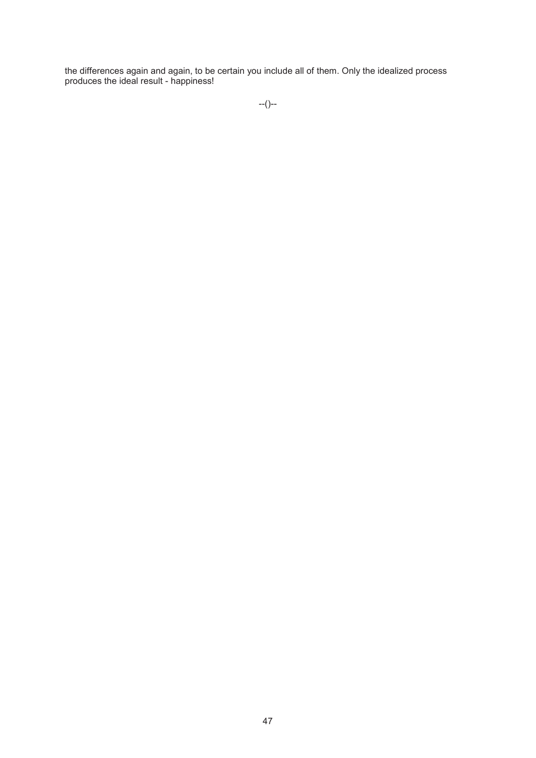the differences again and again, to be certain you include all of them. Only the idealized process produces the ideal result - happiness!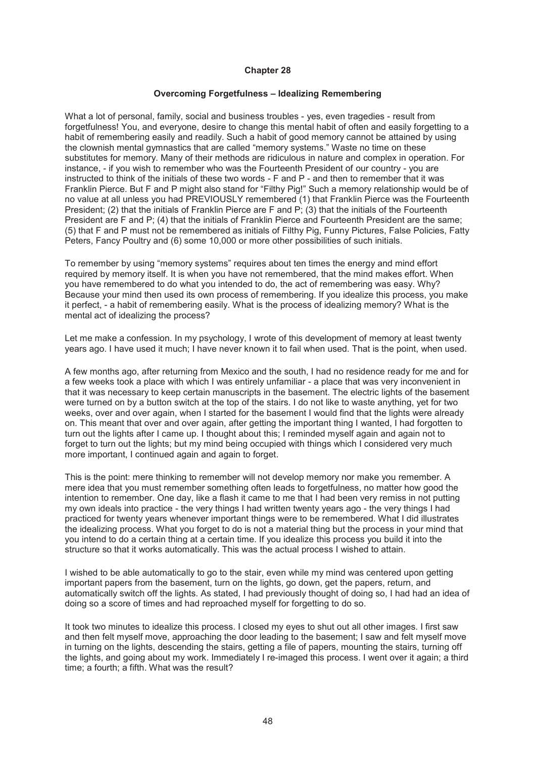#### **Overcoming Forgetfulness – Idealizing Remembering**

What a lot of personal, family, social and business troubles - yes, even tragedies - result from forgetfulness! You, and everyone, desire to change this mental habit of often and easily forgetting to a habit of remembering easily and readily. Such a habit of good memory cannot be attained by using the clownish mental gymnastics that are called "memory systems." Waste no time on these substitutes for memory. Many of their methods are ridiculous in nature and complex in operation. For instance, - if you wish to remember who was the Fourteenth President of our country - you are instructed to think of the initials of these two words - F and P - and then to remember that it was Franklin Pierce. But F and P might also stand for "Filthy Pig!" Such a memory relationship would be of no value at all unless you had PREVIOUSLY remembered (1) that Franklin Pierce was the Fourteenth President; (2) that the initials of Franklin Pierce are F and P; (3) that the initials of the Fourteenth President are F and P; (4) that the initials of Franklin Pierce and Fourteenth President are the same; (5) that F and P must not be remembered as initials of Filthy Pig, Funny Pictures, False Policies, Fatty Peters, Fancy Poultry and (6) some 10,000 or more other possibilities of such initials.

To remember by using "memory systems" requires about ten times the energy and mind effort required by memory itself. It is when you have not remembered, that the mind makes effort. When you have remembered to do what you intended to do, the act of remembering was easy. Why? Because your mind then used its own process of remembering. If you idealize this process, you make it perfect, - a habit of remembering easily. What is the process of idealizing memory? What is the mental act of idealizing the process?

Let me make a confession. In my psychology, I wrote of this development of memory at least twenty years ago. I have used it much; I have never known it to fail when used. That is the point, when used.

A few months ago, after returning from Mexico and the south, I had no residence ready for me and for a few weeks took a place with which I was entirely unfamiliar - a place that was very inconvenient in that it was necessary to keep certain manuscripts in the basement. The electric lights of the basement were turned on by a button switch at the top of the stairs. I do not like to waste anything, yet for two weeks, over and over again, when I started for the basement I would find that the lights were already on. This meant that over and over again, after getting the important thing I wanted, I had forgotten to turn out the lights after I came up. I thought about this; I reminded myself again and again not to forget to turn out the lights; but my mind being occupied with things which I considered very much more important, I continued again and again to forget.

This is the point: mere thinking to remember will not develop memory nor make you remember. A mere idea that you must remember something often leads to forgetfulness, no matter how good the intention to remember. One day, like a flash it came to me that I had been very remiss in not putting my own ideals into practice - the very things I had written twenty years ago - the very things I had practiced for twenty years whenever important things were to be remembered. What I did illustrates the idealizing process. What you forget to do is not a material thing but the process in your mind that you intend to do a certain thing at a certain time. If you idealize this process you build it into the structure so that it works automatically. This was the actual process I wished to attain.

I wished to be able automatically to go to the stair, even while my mind was centered upon getting important papers from the basement, turn on the lights, go down, get the papers, return, and automatically switch off the lights. As stated, I had previously thought of doing so, I had had an idea of doing so a score of times and had reproached myself for forgetting to do so.

It took two minutes to idealize this process. I closed my eyes to shut out all other images. I first saw and then felt myself move, approaching the door leading to the basement; I saw and felt myself move in turning on the lights, descending the stairs, getting a file of papers, mounting the stairs, turning off the lights, and going about my work. Immediately I re-imaged this process. I went over it again; a third time; a fourth; a fifth. What was the result?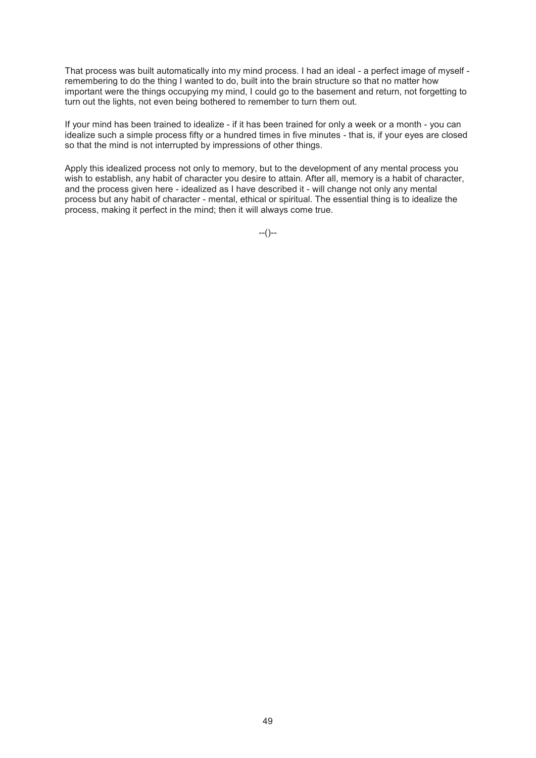That process was built automatically into my mind process. I had an ideal - a perfect image of myself remembering to do the thing I wanted to do, built into the brain structure so that no matter how important were the things occupying my mind, I could go to the basement and return, not forgetting to turn out the lights, not even being bothered to remember to turn them out.

If your mind has been trained to idealize - if it has been trained for only a week or a month - you can idealize such a simple process fifty or a hundred times in five minutes - that is, if your eyes are closed so that the mind is not interrupted by impressions of other things.

Apply this idealized process not only to memory, but to the development of any mental process you wish to establish, any habit of character you desire to attain. After all, memory is a habit of character, and the process given here - idealized as I have described it - will change not only any mental process but any habit of character - mental, ethical or spiritual. The essential thing is to idealize the process, making it perfect in the mind; then it will always come true.

 $-(-)$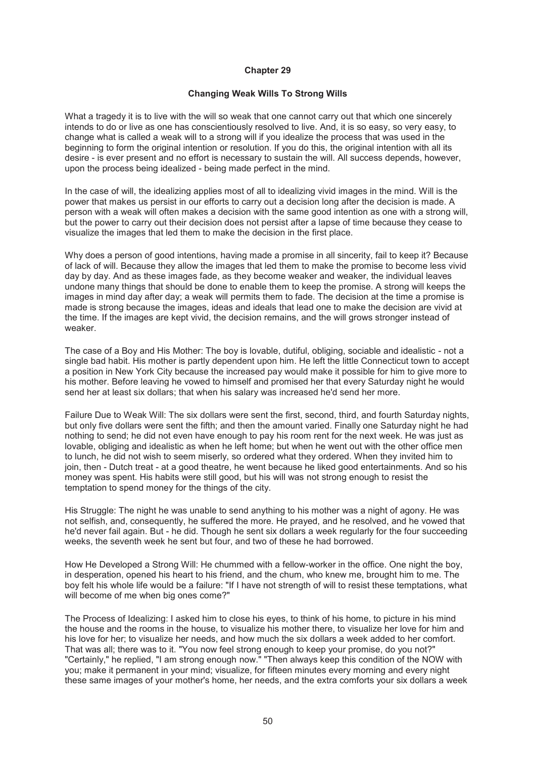#### **Changing Weak Wills To Strong Wills**

What a tragedy it is to live with the will so weak that one cannot carry out that which one sincerely intends to do or live as one has conscientiously resolved to live. And, it is so easy, so very easy, to change what is called a weak will to a strong will if you idealize the process that was used in the beginning to form the original intention or resolution. If you do this, the original intention with all its desire - is ever present and no effort is necessary to sustain the will. All success depends, however, upon the process being idealized - being made perfect in the mind.

In the case of will, the idealizing applies most of all to idealizing vivid images in the mind. Will is the power that makes us persist in our efforts to carry out a decision long after the decision is made. A person with a weak will often makes a decision with the same good intention as one with a strong will, but the power to carry out their decision does not persist after a lapse of time because they cease to visualize the images that led them to make the decision in the first place.

Why does a person of good intentions, having made a promise in all sincerity, fail to keep it? Because of lack of will. Because they allow the images that led them to make the promise to become less vivid day by day. And as these images fade, as they become weaker and weaker, the individual leaves undone many things that should be done to enable them to keep the promise. A strong will keeps the images in mind day after day; a weak will permits them to fade. The decision at the time a promise is made is strong because the images, ideas and ideals that lead one to make the decision are vivid at the time. If the images are kept vivid, the decision remains, and the will grows stronger instead of weaker.

The case of a Boy and His Mother: The boy is lovable, dutiful, obliging, sociable and idealistic - not a single bad habit. His mother is partly dependent upon him. He left the little Connecticut town to accept a position in New York City because the increased pay would make it possible for him to give more to his mother. Before leaving he vowed to himself and promised her that every Saturday night he would send her at least six dollars; that when his salary was increased he'd send her more.

Failure Due to Weak Will: The six dollars were sent the first, second, third, and fourth Saturday nights, but only five dollars were sent the fifth; and then the amount varied. Finally one Saturday night he had nothing to send; he did not even have enough to pay his room rent for the next week. He was just as lovable, obliging and idealistic as when he left home; but when he went out with the other office men to lunch, he did not wish to seem miserly, so ordered what they ordered. When they invited him to join, then - Dutch treat - at a good theatre, he went because he liked good entertainments. And so his money was spent. His habits were still good, but his will was not strong enough to resist the temptation to spend money for the things of the city.

His Struggle: The night he was unable to send anything to his mother was a night of agony. He was not selfish, and, consequently, he suffered the more. He prayed, and he resolved, and he vowed that he'd never fail again. But - he did. Though he sent six dollars a week regularly for the four succeeding weeks, the seventh week he sent but four, and two of these he had borrowed.

How He Developed a Strong Will: He chummed with a fellow-worker in the office. One night the boy, in desperation, opened his heart to his friend, and the chum, who knew me, brought him to me. The boy felt his whole life would be a failure: "If I have not strength of will to resist these temptations, what will become of me when big ones come?"

The Process of Idealizing: I asked him to close his eyes, to think of his home, to picture in his mind the house and the rooms in the house, to visualize his mother there, to visualize her love for him and his love for her; to visualize her needs, and how much the six dollars a week added to her comfort. That was all; there was to it. "You now feel strong enough to keep your promise, do you not?" "Certainly," he replied, "I am strong enough now." "Then always keep this condition of the NOW with you; make it permanent in your mind; visualize, for fifteen minutes every morning and every night these same images of your mother's home, her needs, and the extra comforts your six dollars a week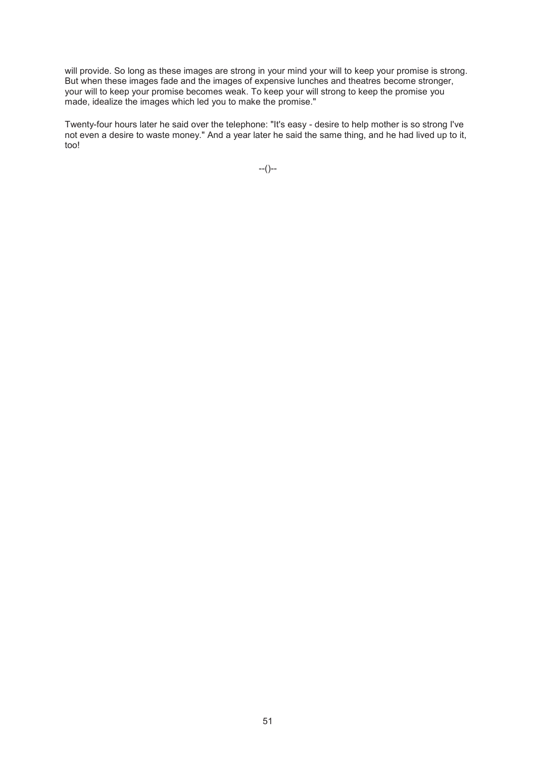will provide. So long as these images are strong in your mind your will to keep your promise is strong. But when these images fade and the images of expensive lunches and theatres become stronger, your will to keep your promise becomes weak. To keep your will strong to keep the promise you made, idealize the images which led you to make the promise."

Twenty-four hours later he said over the telephone: "It's easy - desire to help mother is so strong I've not even a desire to waste money." And a year later he said the same thing, and he had lived up to it, too!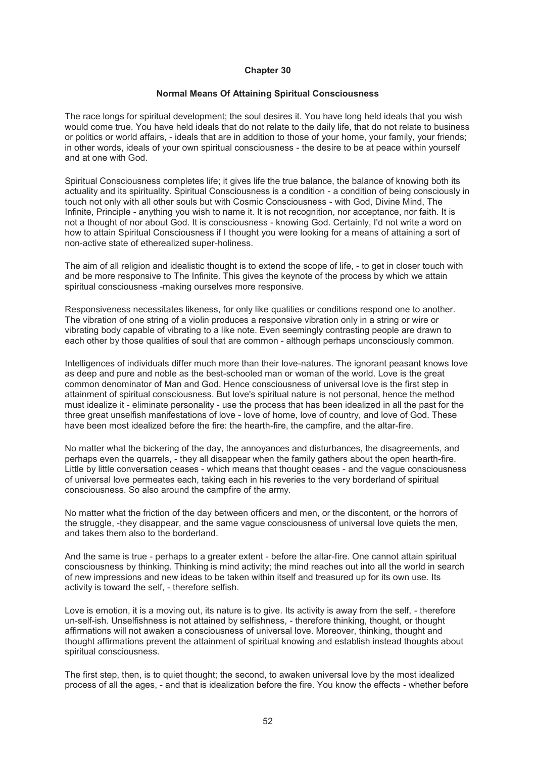#### **Normal Means Of Attaining Spiritual Consciousness**

The race longs for spiritual development; the soul desires it. You have long held ideals that you wish would come true. You have held ideals that do not relate to the daily life, that do not relate to business or politics or world affairs, - ideals that are in addition to those of your home, your family, your friends; in other words, ideals of your own spiritual consciousness - the desire to be at peace within yourself and at one with God.

Spiritual Consciousness completes life; it gives life the true balance, the balance of knowing both its actuality and its spirituality. Spiritual Consciousness is a condition - a condition of being consciously in touch not only with all other souls but with Cosmic Consciousness - with God, Divine Mind, The Infinite, Principle - anything you wish to name it. It is not recognition, nor acceptance, nor faith. It is not a thought of nor about God. It is consciousness - knowing God. Certainly, I'd not write a word on how to attain Spiritual Consciousness if I thought you were looking for a means of attaining a sort of non-active state of etherealized super-holiness.

The aim of all religion and idealistic thought is to extend the scope of life, - to get in closer touch with and be more responsive to The Infinite. This gives the keynote of the process by which we attain spiritual consciousness -making ourselves more responsive.

Responsiveness necessitates likeness, for only like qualities or conditions respond one to another. The vibration of one string of a violin produces a responsive vibration only in a string or wire or vibrating body capable of vibrating to a like note. Even seemingly contrasting people are drawn to each other by those qualities of soul that are common - although perhaps unconsciously common.

Intelligences of individuals differ much more than their love-natures. The ignorant peasant knows love as deep and pure and noble as the best-schooled man or woman of the world. Love is the great common denominator of Man and God. Hence consciousness of universal love is the first step in attainment of spiritual consciousness. But love's spiritual nature is not personal, hence the method must idealize it - eliminate personality - use the process that has been idealized in all the past for the three great unselfish manifestations of love - love of home, love of country, and love of God. These have been most idealized before the fire: the hearth-fire, the campfire, and the altar-fire.

No matter what the bickering of the day, the annoyances and disturbances, the disagreements, and perhaps even the quarrels, - they all disappear when the family gathers about the open hearth-fire. Little by little conversation ceases - which means that thought ceases - and the vague consciousness of universal love permeates each, taking each in his reveries to the very borderland of spiritual consciousness. So also around the campfire of the army.

No matter what the friction of the day between officers and men, or the discontent, or the horrors of the struggle, -they disappear, and the same vague consciousness of universal love quiets the men, and takes them also to the borderland.

And the same is true - perhaps to a greater extent - before the altar-fire. One cannot attain spiritual consciousness by thinking. Thinking is mind activity; the mind reaches out into all the world in search of new impressions and new ideas to be taken within itself and treasured up for its own use. Its activity is toward the self, - therefore selfish.

Love is emotion, it is a moving out, its nature is to give. Its activity is away from the self, - therefore un-self-ish. Unselfishness is not attained by selfishness, - therefore thinking, thought, or thought affirmations will not awaken a consciousness of universal love. Moreover, thinking, thought and thought affirmations prevent the attainment of spiritual knowing and establish instead thoughts about spiritual consciousness.

The first step, then, is to quiet thought; the second, to awaken universal love by the most idealized process of all the ages, - and that is idealization before the fire. You know the effects - whether before